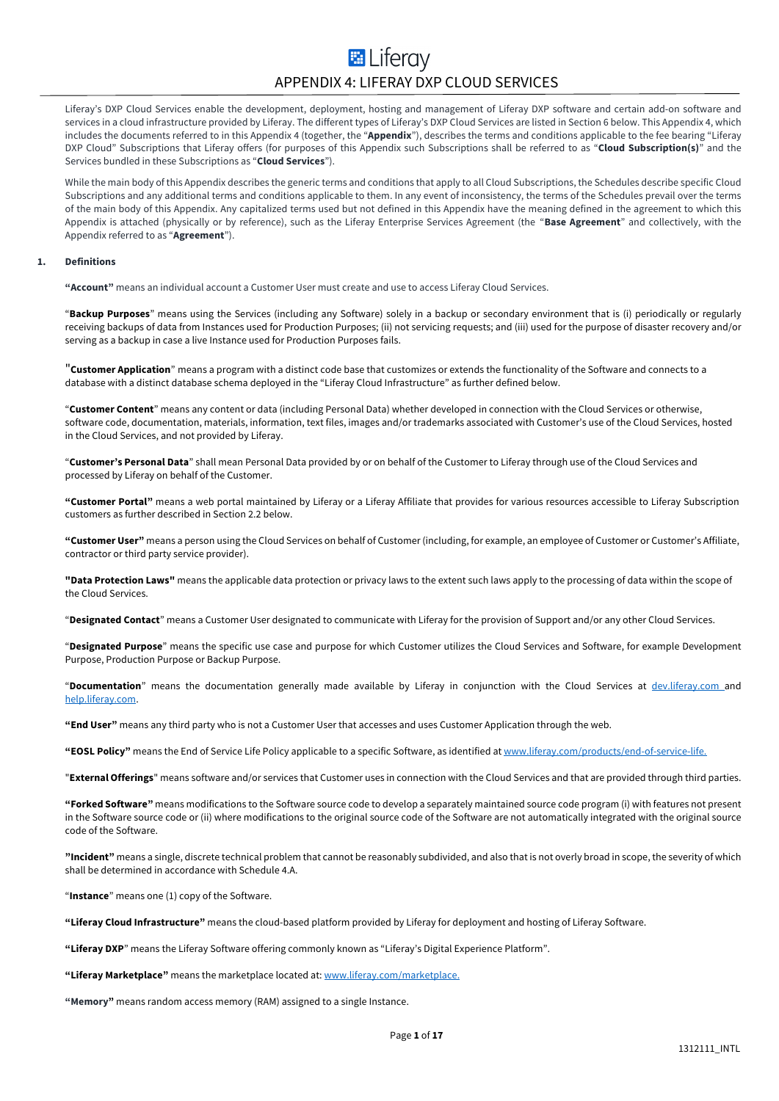## **E** Liferav APPENDIX 4: LIFERAY DXP CLOUD SERVICES

Liferay's DXP Cloud Services enable the development, deployment, hosting and management of Liferay DXP software and certain add-on software and services in a cloud infrastructure provided by Liferay. The different types of Liferay's DXP Cloud Services are listed in Section 6 below. This Appendix 4, which includes the documents referred to in this Appendix 4 (together, the "**Appendix**"), describes the terms and conditions applicable to the fee bearing "Liferay DXP Cloud" Subscriptions that Liferay offers (for purposes of this Appendix such Subscriptions shall be referred to as "**Cloud Subscription(s)**" and the Services bundled in these Subscriptions as "**Cloud Services**").

While the main body of this Appendix describes the generic terms and conditions that apply to all Cloud Subscriptions, the Schedules describe specific Cloud Subscriptions and any additional terms and conditions applicable to them. In any event of inconsistency, the terms of the Schedules prevail over the terms of the main body of this Appendix. Any capitalized terms used but not defined in this Appendix have the meaning defined in the agreement to which this Appendix is attached (physically or by reference), such as the Liferay Enterprise Services Agreement (the "**Base Agreement**" and collectively, with the Appendix referred to as "**Agreement**").

#### **1. Definitions**

**"Account"** means an individual account a Customer User must create and use to access Liferay Cloud Services.

"**Backup Purposes**" means using the Services (including any Software) solely in a backup or secondary environment that is (i) periodically or regularly receiving backups of data from Instances used for Production Purposes; (ii) not servicing requests; and (iii) used for the purpose of disaster recovery and/or serving as a backup in case a live Instance used for Production Purposes fails.

"**Customer Application**" means a program with a distinct code base that customizes or extends the functionality of the Software and connects to a database with a distinct database schema deployed in the "Liferay Cloud Infrastructure" as further defined below.

"**Customer Content**" means any content or data (including Personal Data) whether developed in connection with the Cloud Services or otherwise, software code, documentation, materials, information, text files, images and/or trademarks associated with Customer's use of the Cloud Services, hosted in the Cloud Services, and not provided by Liferay.

"**Customer's Personal Data**" shall mean Personal Data provided by or on behalf of the Customer to Liferay through use of the Cloud Services and processed by Liferay on behalf of the Customer.

**"Customer Portal"** means a web portal maintained by Liferay or a Liferay Affiliate that provides for various resources accessible to Liferay Subscription customers as further described in Section 2.2 below.

**"Customer User"** means a person using the Cloud Services on behalf of Customer (including, for example, an employee of Customer or Customer's Affiliate, contractor or third party service provider).

**"Data Protection Laws"** means the applicable data protection or privacy laws to the extent such laws apply to the processing of data within the scope of the Cloud Services.

"**Designated Contact**" means a Customer User designated to communicate with Liferay for the provision of Support and/or any other Cloud Services.

"**Designated Purpose**" means the specific use case and purpose for which Customer utilizes the Cloud Services and Software, for example Development Purpose, Production Purpose or Backup Purpose.

"**Documentation**" means the documentation generally made available by Liferay in conjunction with the Cloud Services at dev.liferay.com and help.liferay.com.

**"End User"** means any third party who is not a Customer User that accesses and uses Customer Application through the web.

**"EOSL Policy"** means the End of Service Life Policy applicable to a specific Software, as identified at www.liferay.com/products/end-of-service-life.

"**External Offerings**" means software and/or services that Customer uses in connection with the Cloud Services and that are provided through third parties.

**"Forked Software"** means modifications to the Software source code to develop a separately maintained source code program (i) with features not present in the Software source code or (ii) where modifications to the original source code of the Software are not automatically integrated with the original source code of the Software.

**"Incident"** means a single, discrete technical problem that cannot be reasonably subdivided, and also that is not overly broad in scope, the severity of which shall be determined in accordance with Schedule 4.A.

"**Instance**" means one (1) copy of the Software.

**"Liferay Cloud Infrastructure"** means the cloud-based platform provided by Liferay for deployment and hosting of Liferay Software.

**"Liferay DXP**" means the Liferay Software offering commonly known as "Liferay's Digital Experience Platform".

**"Liferay Marketplace"** means the marketplace located at: www.liferay.com/marketplace.

**"Memory"** means random access memory (RAM) assigned to a single Instance.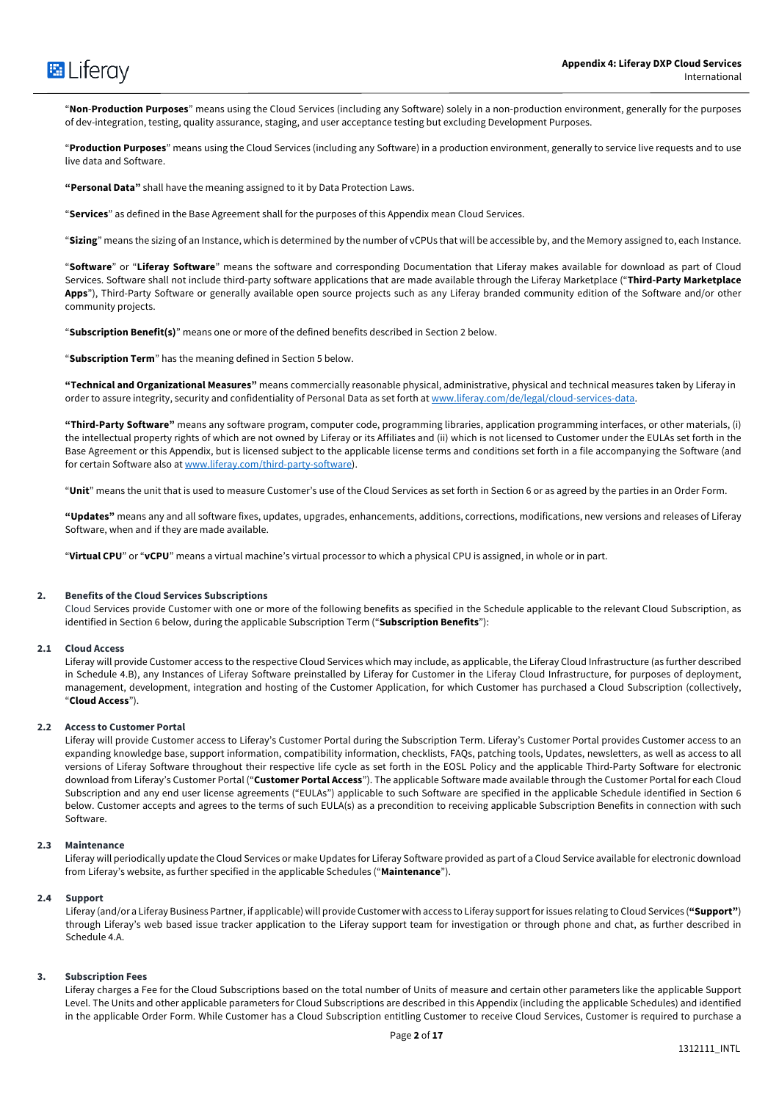

"**Non**-**Production Purposes**" means using the Cloud Services (including any Software) solely in a non-production environment, generally for the purposes of dev-integration, testing, quality assurance, staging, and user acceptance testing but excluding Development Purposes.

"**Production Purposes**" means using the Cloud Services (including any Software) in a production environment, generally to service live requests and to use live data and Software.

**"Personal Data"** shall have the meaning assigned to it by Data Protection Laws.

"**Services**" as defined in the Base Agreement shall for the purposes of this Appendix mean Cloud Services.

"**Sizing**" means the sizing of an Instance, which is determined by the number of vCPUs that will be accessible by, and the Memory assigned to, each Instance.

"**Software**" or "**Liferay Software**" means the software and corresponding Documentation that Liferay makes available for download as part of Cloud Services. Software shall not include third-party software applications that are made available through the Liferay Marketplace ("**Third-Party Marketplace Apps**"), Third-Party Software or generally available open source projects such as any Liferay branded community edition of the Software and/or other community projects.

"**Subscription Benefit(s)**" means one or more of the defined benefits described in Section 2 below.

"**Subscription Term**" has the meaning defined in Section 5 below.

**"Technical and Organizational Measures"** means commercially reasonable physical, administrative, physical and technical measures taken by Liferay in order to assure integrity, security and confidentiality of Personal Data as set forth at www.liferay.com/de/legal/cloud-services-data.

**"Third-Party Software"** means any software program, computer code, programming libraries, application programming interfaces, or other materials, (i) the intellectual property rights of which are not owned by Liferay or its Affiliates and (ii) which is not licensed to Customer under the EULAs set forth in the Base Agreement or this Appendix, but is licensed subject to the applicable license terms and conditions set forth in a file accompanying the Software (and for certain Software also at www.liferay.com/third-party-software).

"**Unit**" means the unit that is used to measure Customer's use of the Cloud Services as set forth in Section 6 or as agreed by the parties in an Order Form.

**"Updates"** means any and all software fixes, updates, upgrades, enhancements, additions, corrections, modifications, new versions and releases of Liferay Software, when and if they are made available.

"**Virtual CPU**" or "**vCPU**" means a virtual machine's virtual processor to which a physical CPU is assigned, in whole or in part.

#### **2. Benefits of the Cloud Services Subscriptions**

Cloud Services provide Customer with one or more of the following benefits as specified in the Schedule applicable to the relevant Cloud Subscription, as identified in Section 6 below, during the applicable Subscription Term ("**Subscription Benefits**"):

## **2.1 Cloud Access**

Liferay will provide Customer access to the respective Cloud Services which may include, as applicable, the Liferay Cloud Infrastructure (as further described in Schedule 4.B), any Instances of Liferay Software preinstalled by Liferay for Customer in the Liferay Cloud Infrastructure, for purposes of deployment, management, development, integration and hosting of the Customer Application, for which Customer has purchased a Cloud Subscription (collectively, "**Cloud Access**").

#### **2.2 Access to Customer Portal**

Liferay will provide Customer access to Liferay's Customer Portal during the Subscription Term. Liferay's Customer Portal provides Customer access to an expanding knowledge base, support information, compatibility information, checklists, FAQs, patching tools, Updates, newsletters, as well as access to all versions of Liferay Software throughout their respective life cycle as set forth in the EOSL Policy and the applicable Third-Party Software for electronic download from Liferay's Customer Portal ("**Customer Portal Access**"). The applicable Software made available through the Customer Portal for each Cloud Subscription and any end user license agreements ("EULAs") applicable to such Software are specified in the applicable Schedule identified in Section 6 below. Customer accepts and agrees to the terms of such EULA(s) as a precondition to receiving applicable Subscription Benefits in connection with such Software.

#### **2.3 Maintenance**

Liferay will periodically update the Cloud Services or make Updates for Liferay Software provided as part of a Cloud Service available for electronic download from Liferay's website, as further specified in the applicable Schedules ("**Maintenance**").

#### **2.4 Support**

Liferay (and/or a Liferay Business Partner, if applicable) will provide Customer with access to Liferay support for issues relating to Cloud Services (**"Support"**) through Liferay's web based issue tracker application to the Liferay support team for investigation or through phone and chat, as further described in Schedule 4.A.

#### **3. Subscription Fees**

Liferay charges a Fee for the Cloud Subscriptions based on the total number of Units of measure and certain other parameters like the applicable Support Level. The Units and other applicable parameters for Cloud Subscriptions are described in this Appendix (including the applicable Schedules) and identified in the applicable Order Form. While Customer has a Cloud Subscription entitling Customer to receive Cloud Services, Customer is required to purchase a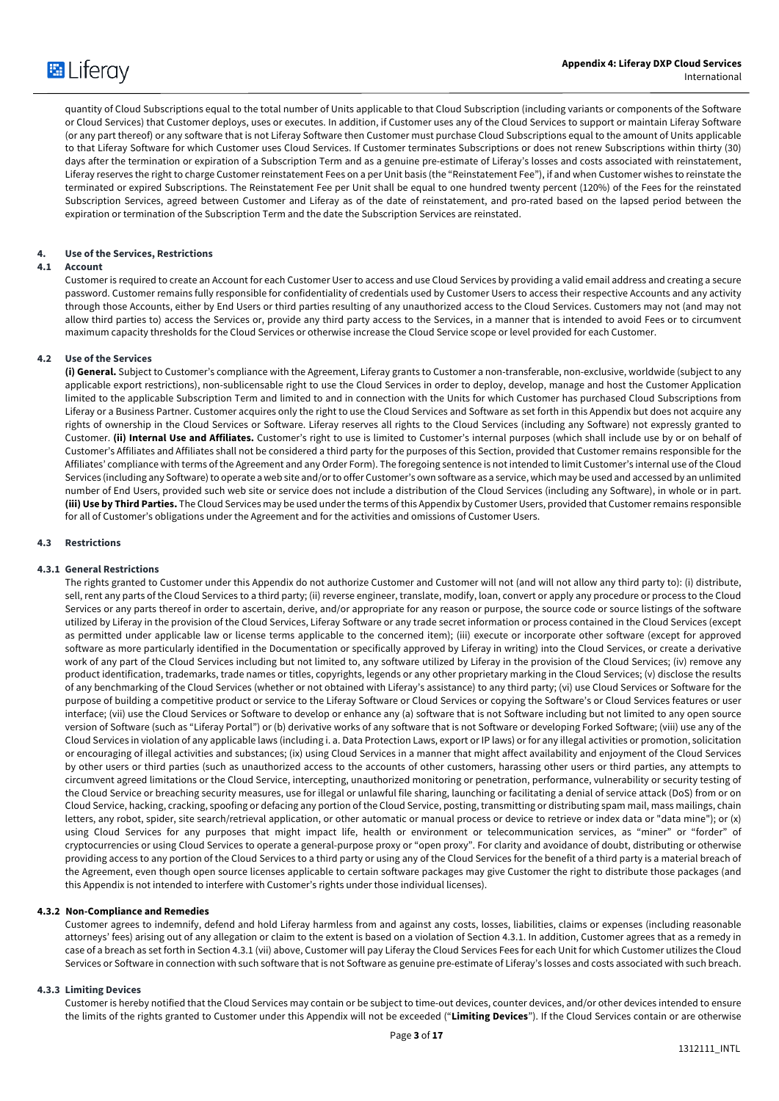

quantity of Cloud Subscriptions equal to the total number of Units applicable to that Cloud Subscription (including variants or components of the Software or Cloud Services) that Customer deploys, uses or executes. In addition, if Customer uses any of the Cloud Services to support or maintain Liferay Software (or any part thereof) or any software that is not Liferay Software then Customer must purchase Cloud Subscriptions equal to the amount of Units applicable to that Liferay Software for which Customer uses Cloud Services. If Customer terminates Subscriptions or does not renew Subscriptions within thirty (30) days after the termination or expiration of a Subscription Term and as a genuine pre-estimate of Liferay's losses and costs associated with reinstatement, Liferay reserves the right to charge Customer reinstatement Fees on a per Unit basis (the "Reinstatement Fee"), if and when Customer wishes to reinstate the terminated or expired Subscriptions. The Reinstatement Fee per Unit shall be equal to one hundred twenty percent (120%) of the Fees for the reinstated Subscription Services, agreed between Customer and Liferay as of the date of reinstatement, and pro-rated based on the lapsed period between the expiration or termination of the Subscription Term and the date the Subscription Services are reinstated.

#### **4. Use of the Services, Restrictions**

## **4.1 Account**

Customer is required to create an Account for each Customer User to access and use Cloud Services by providing a valid email address and creating a secure password. Customer remains fully responsible for confidentiality of credentials used by Customer Users to access their respective Accounts and any activity through those Accounts, either by End Users or third parties resulting of any unauthorized access to the Cloud Services. Customers may not (and may not allow third parties to) access the Services or, provide any third party access to the Services, in a manner that is intended to avoid Fees or to circumvent maximum capacity thresholds for the Cloud Services or otherwise increase the Cloud Service scope or level provided for each Customer.

#### **4.2 Use of the Services**

**(i) General.** Subject to Customer's compliance with the Agreement, Liferay grants to Customer a non-transferable, non-exclusive, worldwide (subject to any applicable export restrictions), non-sublicensable right to use the Cloud Services in order to deploy, develop, manage and host the Customer Application limited to the applicable Subscription Term and limited to and in connection with the Units for which Customer has purchased Cloud Subscriptions from Liferay or a Business Partner. Customer acquires only the right to use the Cloud Services and Software as set forth in this Appendix but does not acquire any rights of ownership in the Cloud Services or Software. Liferay reserves all rights to the Cloud Services (including any Software) not expressly granted to Customer. **(ii) Internal Use and Affiliates.** Customer's right to use is limited to Customer's internal purposes (which shall include use by or on behalf of Customer's Affiliates and Affiliates shall not be considered a third party for the purposes of this Section, provided that Customer remains responsible for the Affiliates' compliance with terms of the Agreement and any Order Form). The foregoing sentence is not intended to limit Customer's internal use of the Cloud Services (including any Software) to operate a web site and/or to offer Customer's own software as a service, which may be used and accessed by an unlimited number of End Users, provided such web site or service does not include a distribution of the Cloud Services (including any Software), in whole or in part. **(iii) Use by Third Parties.** The Cloud Services may be used under the terms of this Appendix by Customer Users, provided that Customer remains responsible for all of Customer's obligations under the Agreement and for the activities and omissions of Customer Users.

#### **4.3 Restrictions**

#### **4.3.1 General Restrictions**

The rights granted to Customer under this Appendix do not authorize Customer and Customer will not (and will not allow any third party to): (i) distribute, sell, rent any parts of the Cloud Services to a third party; (ii) reverse engineer, translate, modify, loan, convert or apply any procedure or process to the Cloud Services or any parts thereof in order to ascertain, derive, and/or appropriate for any reason or purpose, the source code or source listings of the software utilized by Liferay in the provision of the Cloud Services, Liferay Software or any trade secret information or process contained in the Cloud Services (except as permitted under applicable law or license terms applicable to the concerned item); (iii) execute or incorporate other software (except for approved software as more particularly identified in the Documentation or specifically approved by Liferay in writing) into the Cloud Services, or create a derivative work of any part of the Cloud Services including but not limited to, any software utilized by Liferay in the provision of the Cloud Services; (iv) remove any product identification, trademarks, trade names or titles, copyrights, legends or any other proprietary marking in the Cloud Services; (v) disclose the results of any benchmarking of the Cloud Services (whether or not obtained with Liferay's assistance) to any third party; (vi) use Cloud Services or Software for the purpose of building a competitive product or service to the Liferay Software or Cloud Services or copying the Software's or Cloud Services features or user interface; (vii) use the Cloud Services or Software to develop or enhance any (a) software that is not Software including but not limited to any open source version of Software (such as "Liferay Portal") or (b) derivative works of any software that is not Software or developing Forked Software; (viii) use any of the Cloud Services in violation of any applicable laws (including i. a. Data Protection Laws, export or IP laws) or for any illegal activities or promotion, solicitation or encouraging of illegal activities and substances; (ix) using Cloud Services in a manner that might affect availability and enjoyment of the Cloud Services by other users or third parties (such as unauthorized access to the accounts of other customers, harassing other users or third parties, any attempts to circumvent agreed limitations or the Cloud Service, intercepting, unauthorized monitoring or penetration, performance, vulnerability or security testing of the Cloud Service or breaching security measures, use for illegal or unlawful file sharing, launching or facilitating a denial of service attack (DoS) from or on Cloud Service, hacking, cracking, spoofing or defacing any portion of the Cloud Service, posting, transmitting or distributing spam mail, mass mailings, chain letters, any robot, spider, site search/retrieval application, or other automatic or manual process or device to retrieve or index data or "data mine"); or (x) using Cloud Services for any purposes that might impact life, health or environment or telecommunication services, as "miner" or "forder" of cryptocurrencies or using Cloud Services to operate a general-purpose proxy or "open proxy". For clarity and avoidance of doubt, distributing or otherwise providing access to any portion of the Cloud Services to a third party or using any of the Cloud Services for the benefit of a third party is a material breach of the Agreement, even though open source licenses applicable to certain software packages may give Customer the right to distribute those packages (and this Appendix is not intended to interfere with Customer's rights under those individual licenses).

#### **4.3.2 Non-Compliance and Remedies**

Customer agrees to indemnify, defend and hold Liferay harmless from and against any costs, losses, liabilities, claims or expenses (including reasonable attorneys' fees) arising out of any allegation or claim to the extent is based on a violation of Section 4.3.1. In addition, Customer agrees that as a remedy in case of a breach as set forth in Section 4.3.1 (vii) above, Customer will pay Liferay the Cloud Services Fees for each Unit for which Customer utilizes the Cloud Services or Software in connection with such software that is not Software as genuine pre-estimate of Liferay's losses and costs associated with such breach.

#### **4.3.3 Limiting Devices**

Customer is hereby notified that the Cloud Services may contain or be subject to time-out devices, counter devices, and/or other devices intended to ensure the limits of the rights granted to Customer under this Appendix will not be exceeded ("**Limiting Devices**"). If the Cloud Services contain or are otherwise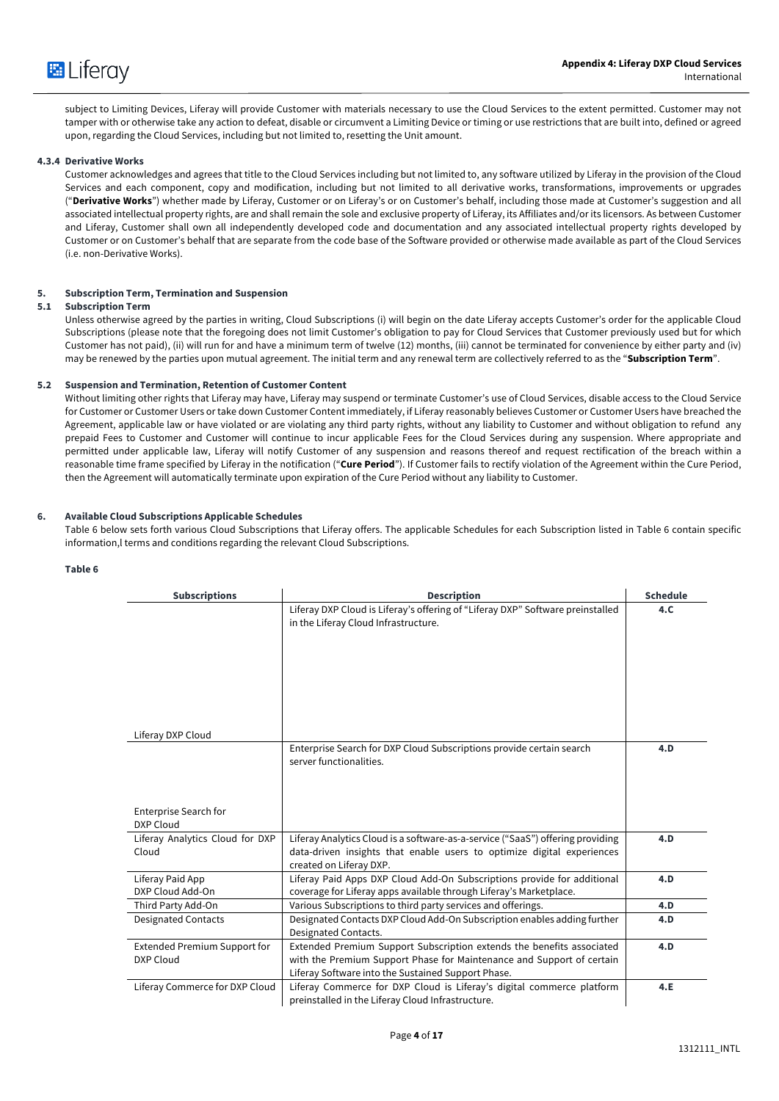

subject to Limiting Devices, Liferay will provide Customer with materials necessary to use the Cloud Services to the extent permitted. Customer may not tamper with or otherwise take any action to defeat, disable or circumvent a Limiting Device or timing or use restrictions that are built into, defined or agreed upon, regarding the Cloud Services, including but not limited to, resetting the Unit amount.

#### **4.3.4 Derivative Works**

Customer acknowledges and agrees that title to the Cloud Services including but not limited to, any software utilized by Liferay in the provision of the Cloud Services and each component, copy and modification, including but not limited to all derivative works, transformations, improvements or upgrades ("**Derivative Works**") whether made by Liferay, Customer or on Liferay's or on Customer's behalf, including those made at Customer's suggestion and all associated intellectual property rights, are and shall remain the sole and exclusive property of Liferay, its Affiliates and/or its licensors. As between Customer and Liferay, Customer shall own all independently developed code and documentation and any associated intellectual property rights developed by Customer or on Customer's behalf that are separate from the code base of the Software provided or otherwise made available as part of the Cloud Services (i.e. non-Derivative Works).

#### **5. Subscription Term, Termination and Suspension**

#### **5.1 Subscription Term**

Unless otherwise agreed by the parties in writing, Cloud Subscriptions (i) will begin on the date Liferay accepts Customer's order for the applicable Cloud Subscriptions (please note that the foregoing does not limit Customer's obligation to pay for Cloud Services that Customer previously used but for which Customer has not paid), (ii) will run for and have a minimum term of twelve (12) months, (iii) cannot be terminated for convenience by either party and (iv) may be renewed by the parties upon mutual agreement. The initial term and any renewal term are collectively referred to as the "**Subscription Term**".

#### **5.2 Suspension and Termination, Retention of Customer Content**

Without limiting other rights that Liferay may have, Liferay may suspend or terminate Customer's use of Cloud Services, disable access to the Cloud Service for Customer or Customer Users or take down Customer Content immediately, if Liferay reasonably believes Customer or Customer Users have breached the Agreement, applicable law or have violated or are violating any third party rights, without any liability to Customer and without obligation to refund any prepaid Fees to Customer and Customer will continue to incur applicable Fees for the Cloud Services during any suspension. Where appropriate and permitted under applicable law, Liferay will notify Customer of any suspension and reasons thereof and request rectification of the breach within a reasonable time frame specified by Liferay in the notification ("**Cure Period**"). If Customer fails to rectify violation of the Agreement within the Cure Period, then the Agreement will automatically terminate upon expiration of the Cure Period without any liability to Customer.

#### **6. Available Cloud Subscriptions Applicable Schedules**

Table 6 below sets forth various Cloud Subscriptions that Liferay offers. The applicable Schedules for each Subscription listed in Table 6 contain specific information,l terms and conditions regarding the relevant Cloud Subscriptions.

#### **Table 6**

| <b>Subscriptions</b>                | <b>Description</b>                                                                                                          | <b>Schedule</b> |
|-------------------------------------|-----------------------------------------------------------------------------------------------------------------------------|-----------------|
|                                     | Liferay DXP Cloud is Liferay's offering of "Liferay DXP" Software preinstalled                                              | 4.C             |
|                                     | in the Liferay Cloud Infrastructure.                                                                                        |                 |
|                                     |                                                                                                                             |                 |
|                                     |                                                                                                                             |                 |
|                                     |                                                                                                                             |                 |
|                                     |                                                                                                                             |                 |
|                                     |                                                                                                                             |                 |
| Liferay DXP Cloud                   |                                                                                                                             |                 |
|                                     | Enterprise Search for DXP Cloud Subscriptions provide certain search                                                        | 4.D             |
|                                     | server functionalities.                                                                                                     |                 |
|                                     |                                                                                                                             |                 |
|                                     |                                                                                                                             |                 |
| <b>Enterprise Search for</b>        |                                                                                                                             |                 |
| DXP Cloud                           |                                                                                                                             |                 |
| Liferay Analytics Cloud for DXP     | Liferay Analytics Cloud is a software-as-a-service ("SaaS") offering providing                                              | 4.D             |
| Cloud                               | data-driven insights that enable users to optimize digital experiences<br>created on Liferay DXP.                           |                 |
| Liferay Paid App                    | Liferay Paid Apps DXP Cloud Add-On Subscriptions provide for additional                                                     | 4.D             |
| DXP Cloud Add-On                    | coverage for Liferay apps available through Liferay's Marketplace.                                                          |                 |
| Third Party Add-On                  | Various Subscriptions to third party services and offerings.                                                                | 4.D             |
| <b>Designated Contacts</b>          | Designated Contacts DXP Cloud Add-On Subscription enables adding further                                                    | 4.D             |
|                                     | Designated Contacts.                                                                                                        |                 |
| <b>Extended Premium Support for</b> | Extended Premium Support Subscription extends the benefits associated                                                       | 4.D             |
| DXP Cloud                           | with the Premium Support Phase for Maintenance and Support of certain<br>Liferay Software into the Sustained Support Phase. |                 |
| Liferay Commerce for DXP Cloud      | Liferay Commerce for DXP Cloud is Liferay's digital commerce platform                                                       | 4.E             |
|                                     | preinstalled in the Liferay Cloud Infrastructure.                                                                           |                 |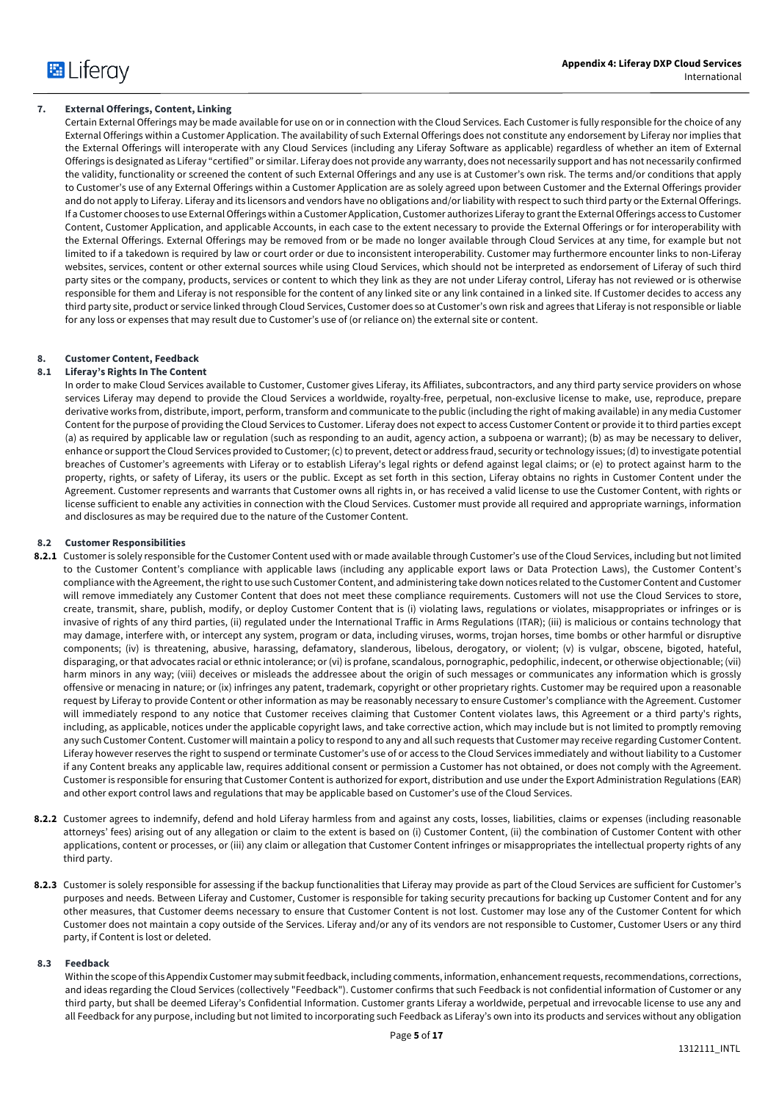

## **7. External Offerings, Content, Linking**

Certain External Offerings may be made available for use on or in connection with the Cloud Services. Each Customer is fully responsible for the choice of any External Offerings within a Customer Application. The availability of such External Offerings does not constitute any endorsement by Liferay nor implies that the External Offerings will interoperate with any Cloud Services (including any Liferay Software as applicable) regardless of whether an item of External Offerings is designated as Liferay "certified" or similar. Liferay does not provide any warranty, does not necessarily support and has not necessarily confirmed the validity, functionality or screened the content of such External Offerings and any use is at Customer's own risk. The terms and/or conditions that apply to Customer's use of any External Offerings within a Customer Application are as solely agreed upon between Customer and the External Offerings provider and do not apply to Liferay. Liferay and its licensors and vendors have no obligations and/or liability with respect to such third party or the External Offerings. If a Customer chooses to use External Offerings within a Customer Application, Customer authorizes Liferay to grant the External Offerings access to Customer Content, Customer Application, and applicable Accounts, in each case to the extent necessary to provide the External Offerings or for interoperability with the External Offerings. External Offerings may be removed from or be made no longer available through Cloud Services at any time, for example but not limited to if a takedown is required by law or court order or due to inconsistent interoperability. Customer may furthermore encounter links to non-Liferay websites, services, content or other external sources while using Cloud Services, which should not be interpreted as endorsement of Liferay of such third party sites or the company, products, services or content to which they link as they are not under Liferay control, Liferay has not reviewed or is otherwise responsible for them and Liferay is not responsible for the content of any linked site or any link contained in a linked site. If Customer decides to access any third party site, product or service linked through Cloud Services, Customer does so at Customer's own risk and agrees that Liferay is not responsible or liable for any loss or expenses that may result due to Customer's use of (or reliance on) the external site or content.

#### **8. Customer Content, Feedback**

#### **8.1 Liferay's Rights In The Content**

In order to make Cloud Services available to Customer, Customer gives Liferay, its Affiliates, subcontractors, and any third party service providers on whose services Liferay may depend to provide the Cloud Services a worldwide, royalty-free, perpetual, non-exclusive license to make, use, reproduce, prepare derivative works from, distribute, import, perform, transform and communicate to the public (including the right of making available) in any media Customer Content for the purpose of providing the Cloud Services to Customer. Liferay does not expect to access Customer Content or provide it to third parties except (a) as required by applicable law or regulation (such as responding to an audit, agency action, a subpoena or warrant); (b) as may be necessary to deliver, enhance or support the Cloud Services provided to Customer; (c) to prevent, detect or address fraud, security or technology issues; (d) to investigate potential breaches of Customer's agreements with Liferay or to establish Liferay's legal rights or defend against legal claims; or (e) to protect against harm to the property, rights, or safety of Liferay, its users or the public. Except as set forth in this section, Liferay obtains no rights in Customer Content under the Agreement. Customer represents and warrants that Customer owns all rights in, or has received a valid license to use the Customer Content, with rights or license sufficient to enable any activities in connection with the Cloud Services. Customer must provide all required and appropriate warnings, information and disclosures as may be required due to the nature of the Customer Content.

#### **8.2 Customer Responsibilities**

- **8.2.1** Customer is solely responsible for the Customer Content used with or made available through Customer's use of the Cloud Services, including but not limited to the Customer Content's compliance with applicable laws (including any applicable export laws or Data Protection Laws), the Customer Content's compliance with the Agreement, the right to use such Customer Content, and administering take down notices related to the Customer Content and Customer will remove immediately any Customer Content that does not meet these compliance requirements. Customers will not use the Cloud Services to store, create, transmit, share, publish, modify, or deploy Customer Content that is (i) violating laws, regulations or violates, misappropriates or infringes or is invasive of rights of any third parties, (ii) regulated under the International Traffic in Arms Regulations (ITAR); (iii) is malicious or contains technology that may damage, interfere with, or intercept any system, program or data, including viruses, worms, trojan horses, time bombs or other harmful or disruptive components; (iv) is threatening, abusive, harassing, defamatory, slanderous, libelous, derogatory, or violent; (v) is vulgar, obscene, bigoted, hateful, disparaging, or that advocates racial or ethnic intolerance; or (vi) is profane, scandalous, pornographic, pedophilic, indecent, or otherwise objectionable; (vii) harm minors in any way; (viii) deceives or misleads the addressee about the origin of such messages or communicates any information which is grossly offensive or menacing in nature; or (ix) infringes any patent, trademark, copyright or other proprietary rights. Customer may be required upon a reasonable request by Liferay to provide Content or other information as may be reasonably necessary to ensure Customer's compliance with the Agreement. Customer will immediately respond to any notice that Customer receives claiming that Customer Content violates laws, this Agreement or a third party's rights, including, as applicable, notices under the applicable copyright laws, and take corrective action, which may include but is not limited to promptly removing any such Customer Content. Customer will maintain a policy to respond to any and all such requests that Customer may receive regarding Customer Content. Liferay however reserves the right to suspend or terminate Customer's use of or access to the Cloud Services immediately and without liability to a Customer if any Content breaks any applicable law, requires additional consent or permission a Customer has not obtained, or does not comply with the Agreement. Customer is responsible for ensuring that Customer Content is authorized for export, distribution and use under the Export Administration Regulations (EAR) and other export control laws and regulations that may be applicable based on Customer's use of the Cloud Services.
- **8.2.2** Customer agrees to indemnify, defend and hold Liferay harmless from and against any costs, losses, liabilities, claims or expenses (including reasonable attorneys' fees) arising out of any allegation or claim to the extent is based on (i) Customer Content, (ii) the combination of Customer Content with other applications, content or processes, or (iii) any claim or allegation that Customer Content infringes or misappropriates the intellectual property rights of any third party.
- **8.2.3** Customer is solely responsible for assessing if the backup functionalities that Liferay may provide as part of the Cloud Services are sufficient for Customer's purposes and needs. Between Liferay and Customer, Customer is responsible for taking security precautions for backing up Customer Content and for any other measures, that Customer deems necessary to ensure that Customer Content is not lost. Customer may lose any of the Customer Content for which Customer does not maintain a copy outside of the Services. Liferay and/or any of its vendors are not responsible to Customer, Customer Users or any third party, if Content is lost or deleted.

#### **8.3 Feedback**

Within the scope of this Appendix Customer may submit feedback, including comments, information, enhancement requests, recommendations, corrections, and ideas regarding the Cloud Services (collectively "Feedback"). Customer confirms that such Feedback is not confidential information of Customer or any third party, but shall be deemed Liferay's Confidential Information. Customer grants Liferay a worldwide, perpetual and irrevocable license to use any and all Feedback for any purpose, including but not limited to incorporating such Feedback as Liferay's own into its products and services without any obligation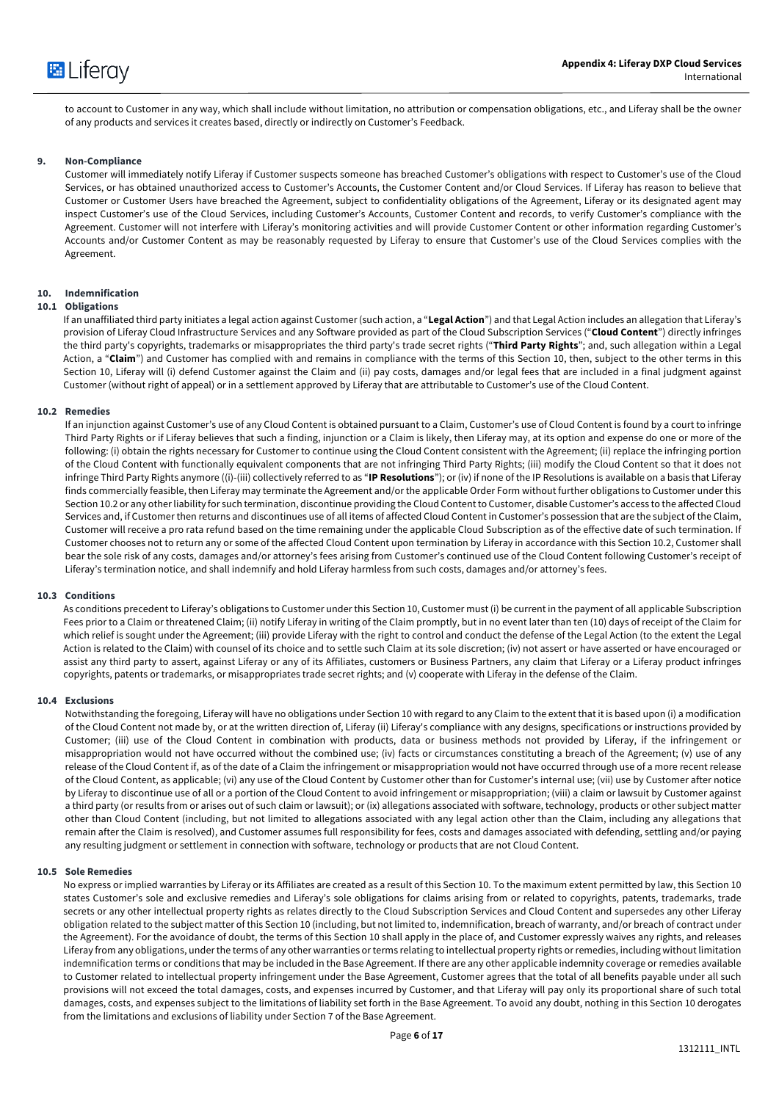to account to Customer in any way, which shall include without limitation, no attribution or compensation obligations, etc., and Liferay shall be the owner of any products and services it creates based, directly or indirectly on Customer's Feedback.

#### **9. Non-Compliance**

Customer will immediately notify Liferay if Customer suspects someone has breached Customer's obligations with respect to Customer's use of the Cloud Services, or has obtained unauthorized access to Customer's Accounts, the Customer Content and/or Cloud Services. If Liferay has reason to believe that Customer or Customer Users have breached the Agreement, subject to confidentiality obligations of the Agreement, Liferay or its designated agent may inspect Customer's use of the Cloud Services, including Customer's Accounts, Customer Content and records, to verify Customer's compliance with the Agreement. Customer will not interfere with Liferay's monitoring activities and will provide Customer Content or other information regarding Customer's Accounts and/or Customer Content as may be reasonably requested by Liferay to ensure that Customer's use of the Cloud Services complies with the Agreement.

## **10. Indemnification**

#### **10.1 Obligations**

If an unaffiliated third party initiates a legal action against Customer (such action, a "**Legal Action**") and that Legal Action includes an allegation that Liferay's provision of Liferay Cloud Infrastructure Services and any Software provided as part of the Cloud Subscription Services ("**Cloud Content**") directly infringes the third party's copyrights, trademarks or misappropriates the third party's trade secret rights ("**Third Party Rights**"; and, such allegation within a Legal Action, a "Claim") and Customer has complied with and remains in compliance with the terms of this Section 10, then, subject to the other terms in this Section 10, Liferay will (i) defend Customer against the Claim and (ii) pay costs, damages and/or legal fees that are included in a final judgment against Customer (without right of appeal) or in a settlement approved by Liferay that are attributable to Customer's use of the Cloud Content.

#### **10.2 Remedies**

If an injunction against Customer's use of any Cloud Content is obtained pursuant to a Claim, Customer's use of Cloud Content is found by a court to infringe Third Party Rights or if Liferay believes that such a finding, injunction or a Claim is likely, then Liferay may, at its option and expense do one or more of the following: (i) obtain the rights necessary for Customer to continue using the Cloud Content consistent with the Agreement; (ii) replace the infringing portion of the Cloud Content with functionally equivalent components that are not infringing Third Party Rights; (iii) modify the Cloud Content so that it does not infringe Third Party Rights anymore ((i)-(iii) collectively referred to as "**IP Resolutions**"); or (iv) if none of the IP Resolutions is available on a basis that Liferay finds commercially feasible, then Liferay may terminate the Agreement and/or the applicable Order Form without further obligations to Customer under this Section 10.2 or any other liability for such termination, discontinue providing the Cloud Content to Customer, disable Customer's access to the affected Cloud Services and, if Customer then returns and discontinues use of all items of affected Cloud Content in Customer's possession that are the subject of the Claim, Customer will receive a pro rata refund based on the time remaining under the applicable Cloud Subscription as of the effective date of such termination. If Customer chooses not to return any or some of the affected Cloud Content upon termination by Liferay in accordance with this Section 10.2, Customer shall bear the sole risk of any costs, damages and/or attorney's fees arising from Customer's continued use of the Cloud Content following Customer's receipt of Liferay's termination notice, and shall indemnify and hold Liferay harmless from such costs, damages and/or attorney's fees.

## **10.3 Conditions**

As conditions precedent to Liferay's obligations to Customer under this Section 10, Customer must (i) be current in the payment of all applicable Subscription Fees prior to a Claim or threatened Claim; (ii) notify Liferay in writing of the Claim promptly, but in no event later than ten (10) days of receipt of the Claim for which relief is sought under the Agreement; (iii) provide Liferay with the right to control and conduct the defense of the Legal Action (to the extent the Legal Action is related to the Claim) with counsel of its choice and to settle such Claim at its sole discretion; (iv) not assert or have asserted or have encouraged or assist any third party to assert, against Liferay or any of its Affiliates, customers or Business Partners, any claim that Liferay or a Liferay product infringes copyrights, patents or trademarks, or misappropriates trade secret rights; and (v) cooperate with Liferay in the defense of the Claim.

#### **10.4 Exclusions**

Notwithstanding the foregoing, Liferay will have no obligations under Section 10 with regard to any Claim to the extent that it is based upon (i) a modification of the Cloud Content not made by, or at the written direction of, Liferay (ii) Liferay's compliance with any designs, specifications or instructions provided by Customer; (iii) use of the Cloud Content in combination with products, data or business methods not provided by Liferay, if the infringement or misappropriation would not have occurred without the combined use; (iv) facts or circumstances constituting a breach of the Agreement; (v) use of any release of the Cloud Content if, as of the date of a Claim the infringement or misappropriation would not have occurred through use of a more recent release of the Cloud Content, as applicable; (vi) any use of the Cloud Content by Customer other than for Customer's internal use; (vii) use by Customer after notice by Liferay to discontinue use of all or a portion of the Cloud Content to avoid infringement or misappropriation; (viii) a claim or lawsuit by Customer against a third party (or results from or arises out of such claim or lawsuit); or (ix) allegations associated with software, technology, products or other subject matter other than Cloud Content (including, but not limited to allegations associated with any legal action other than the Claim, including any allegations that remain after the Claim is resolved), and Customer assumes full responsibility for fees, costs and damages associated with defending, settling and/or paying any resulting judgment or settlement in connection with software, technology or products that are not Cloud Content.

#### **10.5 Sole Remedies**

No express or implied warranties by Liferay or its Affiliates are created as a result of this Section 10. To the maximum extent permitted by law, this Section 10 states Customer's sole and exclusive remedies and Liferay's sole obligations for claims arising from or related to copyrights, patents, trademarks, trade secrets or any other intellectual property rights as relates directly to the Cloud Subscription Services and Cloud Content and supersedes any other Liferay obligation related to the subject matter of this Section 10 (including, but not limited to, indemnification, breach of warranty, and/or breach of contract under the Agreement). For the avoidance of doubt, the terms of this Section 10 shall apply in the place of, and Customer expressly waives any rights, and releases Liferay from any obligations, under the terms of any other warranties or terms relating to intellectual property rights or remedies, including without limitation indemnification terms or conditions that may be included in the Base Agreement. If there are any other applicable indemnity coverage or remedies available to Customer related to intellectual property infringement under the Base Agreement, Customer agrees that the total of all benefits payable under all such provisions will not exceed the total damages, costs, and expenses incurred by Customer, and that Liferay will pay only its proportional share of such total damages, costs, and expenses subject to the limitations of liability set forth in the Base Agreement. To avoid any doubt, nothing in this Section 10 derogates from the limitations and exclusions of liability under Section 7 of the Base Agreement.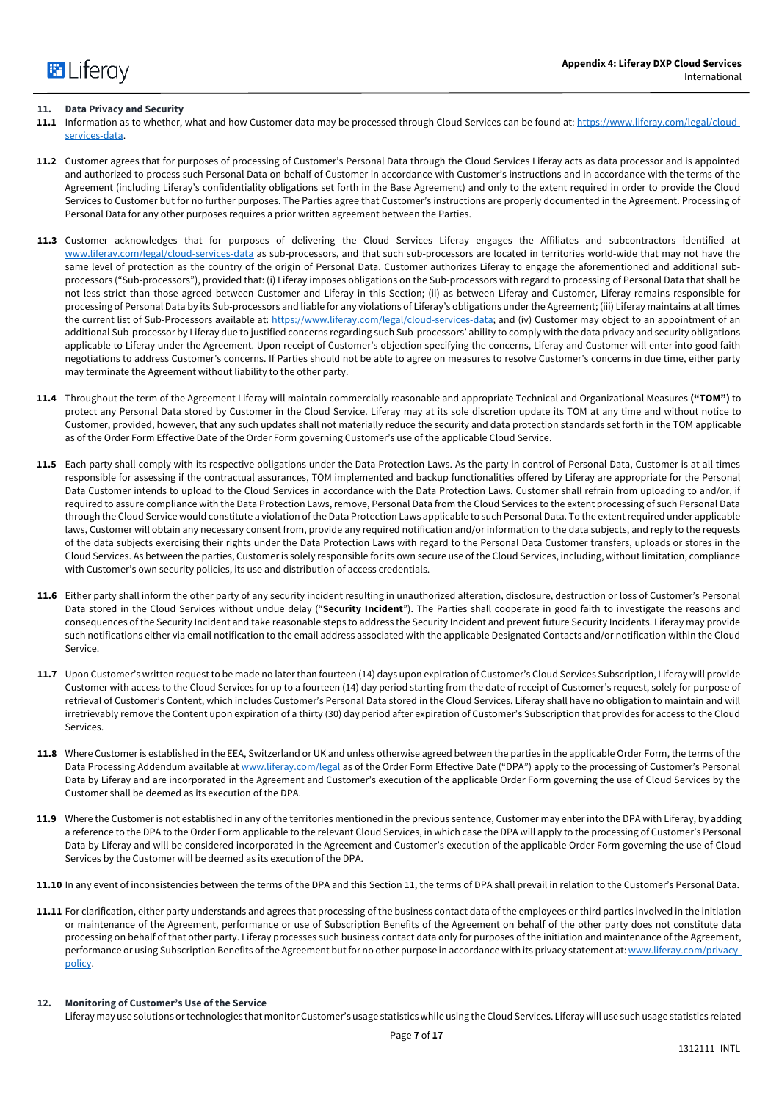## **11. Data Privacy and Security**

- **11.1** Information as to whether, what and how Customer data may be processed through Cloud Services can be found at: https://www.liferay.com/legal/cloudservices-data.
- **11.2** Customer agrees that for purposes of processing of Customer's Personal Data through the Cloud Services Liferay acts as data processor and is appointed and authorized to process such Personal Data on behalf of Customer in accordance with Customer's instructions and in accordance with the terms of the Agreement (including Liferay's confidentiality obligations set forth in the Base Agreement) and only to the extent required in order to provide the Cloud Services to Customer but for no further purposes. The Parties agree that Customer's instructions are properly documented in the Agreement. Processing of Personal Data for any other purposes requires a prior written agreement between the Parties.
- **11.3** Customer acknowledges that for purposes of delivering the Cloud Services Liferay engages the Affiliates and subcontractors identified at www.liferay.com/legal/cloud-services-data as sub-processors, and that such sub-processors are located in territories world-wide that may not have the same level of protection as the country of the origin of Personal Data. Customer authorizes Liferay to engage the aforementioned and additional subprocessors ("Sub-processors"), provided that: (i) Liferay imposes obligations on the Sub-processors with regard to processing of Personal Data that shall be not less strict than those agreed between Customer and Liferay in this Section; (ii) as between Liferay and Customer, Liferay remains responsible for processing of Personal Data by its Sub-processors and liable for any violations of Liferay's obligations under the Agreement; (iii) Liferay maintains at all times the current list of Sub-Processors available at: https://www.liferay.com/legal/cloud-services-data; and (iv) Customer may object to an appointment of an additional Sub-processor by Liferay due to justified concerns regarding such Sub-processors' ability to comply with the data privacy and security obligations applicable to Liferay under the Agreement. Upon receipt of Customer's objection specifying the concerns, Liferay and Customer will enter into good faith negotiations to address Customer's concerns. If Parties should not be able to agree on measures to resolve Customer's concerns in due time, either party may terminate the Agreement without liability to the other party.
- **11.4** Throughout the term of the Agreement Liferay will maintain commercially reasonable and appropriate Technical and Organizational Measures **("TOM")** to protect any Personal Data stored by Customer in the Cloud Service. Liferay may at its sole discretion update its TOM at any time and without notice to Customer, provided, however, that any such updates shall not materially reduce the security and data protection standards set forth in the TOM applicable as of the Order Form Effective Date of the Order Form governing Customer's use of the applicable Cloud Service.
- **11.5** Each party shall comply with its respective obligations under the Data Protection Laws. As the party in control of Personal Data, Customer is at all times responsible for assessing if the contractual assurances, TOM implemented and backup functionalities offered by Liferay are appropriate for the Personal Data Customer intends to upload to the Cloud Services in accordance with the Data Protection Laws. Customer shall refrain from uploading to and/or, if required to assure compliance with the Data Protection Laws, remove, Personal Data from the Cloud Services to the extent processing of such Personal Data through the Cloud Service would constitute a violation of the Data Protection Laws applicable to such Personal Data. To the extent required under applicable laws, Customer will obtain any necessary consent from, provide any required notification and/or information to the data subjects, and reply to the requests of the data subjects exercising their rights under the Data Protection Laws with regard to the Personal Data Customer transfers, uploads or stores in the Cloud Services. As between the parties, Customer is solely responsible for its own secure use of the Cloud Services, including, without limitation, compliance with Customer's own security policies, its use and distribution of access credentials.
- **11.6** Either party shall inform the other party of any security incident resulting in unauthorized alteration, disclosure, destruction or loss of Customer's Personal Data stored in the Cloud Services without undue delay ("**Security Incident**"). The Parties shall cooperate in good faith to investigate the reasons and consequences of the Security Incident and take reasonable steps to address the Security Incident and prevent future Security Incidents. Liferay may provide such notifications either via email notification to the email address associated with the applicable Designated Contacts and/or notification within the Cloud Service.
- **11.7** Upon Customer's written request to be made no later than fourteen (14) days upon expiration of Customer's Cloud Services Subscription, Liferay will provide Customer with access to the Cloud Services for up to a fourteen (14) day period starting from the date of receipt of Customer's request, solely for purpose of retrieval of Customer's Content, which includes Customer's Personal Data stored in the Cloud Services. Liferay shall have no obligation to maintain and will irretrievably remove the Content upon expiration of a thirty (30) day period after expiration of Customer's Subscription that provides for access to the Cloud Services.
- **11.8** Where Customer is established in the EEA, Switzerland or UK and unless otherwise agreed between the parties in the applicable Order Form, the terms of the Data Processing Addendum available at www.liferay.com/legal as of the Order Form Effective Date ("DPA") apply to the processing of Customer's Personal Data by Liferay and are incorporated in the Agreement and Customer's execution of the applicable Order Form governing the use of Cloud Services by the Customer shall be deemed as its execution of the DPA.
- **11.9** Where the Customer is not established in any of the territories mentioned in the previous sentence, Customer may enter into the DPA with Liferay, by adding a reference to the DPA to the Order Form applicable to the relevant Cloud Services, in which case the DPA will apply to the processing of Customer's Personal Data by Liferay and will be considered incorporated in the Agreement and Customer's execution of the applicable Order Form governing the use of Cloud Services by the Customer will be deemed as its execution of the DPA.
- **11.10** In any event of inconsistencies between the terms of the DPA and this Section 11, the terms of DPA shall prevail in relation to the Customer's Personal Data.
- 11.11 For clarification, either party understands and agrees that processing of the business contact data of the employees or third parties involved in the initiation or maintenance of the Agreement, performance or use of Subscription Benefits of the Agreement on behalf of the other party does not constitute data processing on behalf of that other party. Liferay processes such business contact data only for purposes of the initiation and maintenance of the Agreement, performance or using Subscription Benefits of the Agreement but for no other purpose in accordance with its privacy statement at: www.liferay.com/privacypolicy.

#### **12. Monitoring of Customer's Use of the Service**

Liferay may use solutions or technologies that monitor Customer's usage statistics while using the Cloud Services. Liferay will use such usage statistics related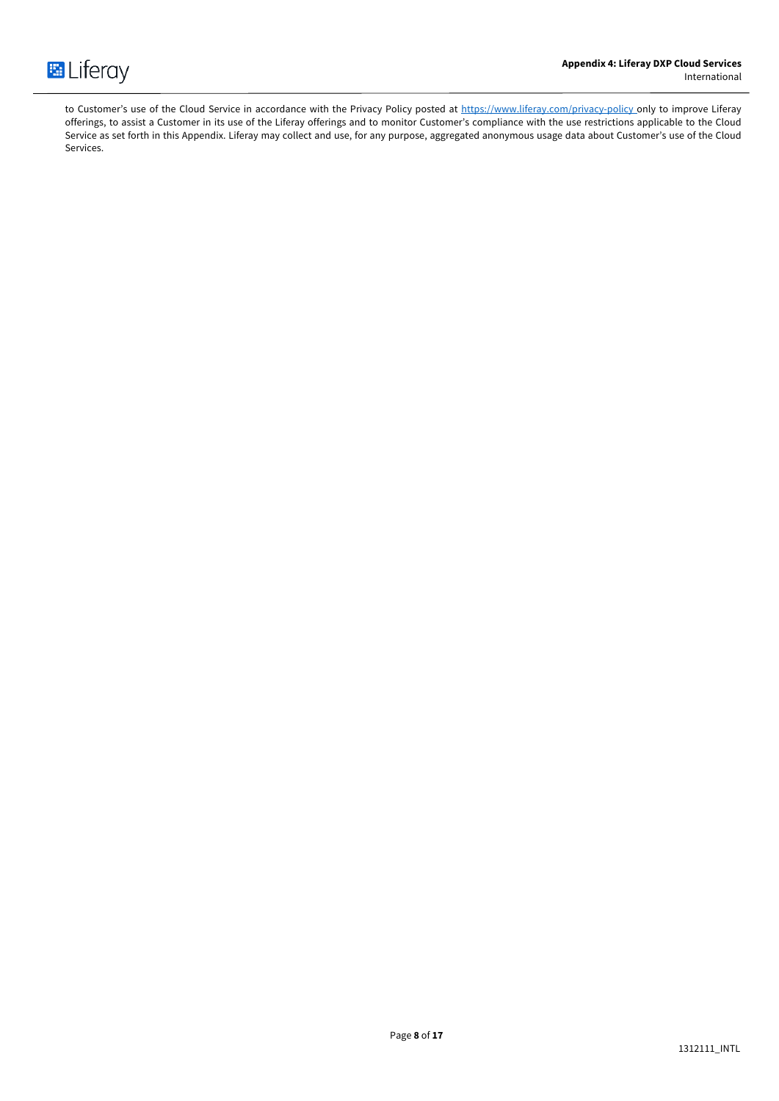

to Customer's use of the Cloud Service in accordance with the Privacy Policy posted at https://www.liferay.com/privacy-policy\_only to improve Liferay offerings, to assist a Customer in its use of the Liferay offerings and to monitor Customer's compliance with the use restrictions applicable to the Cloud Service as set forth in this Appendix. Liferay may collect and use, for any purpose, aggregated anonymous usage data about Customer's use of the Cloud Services.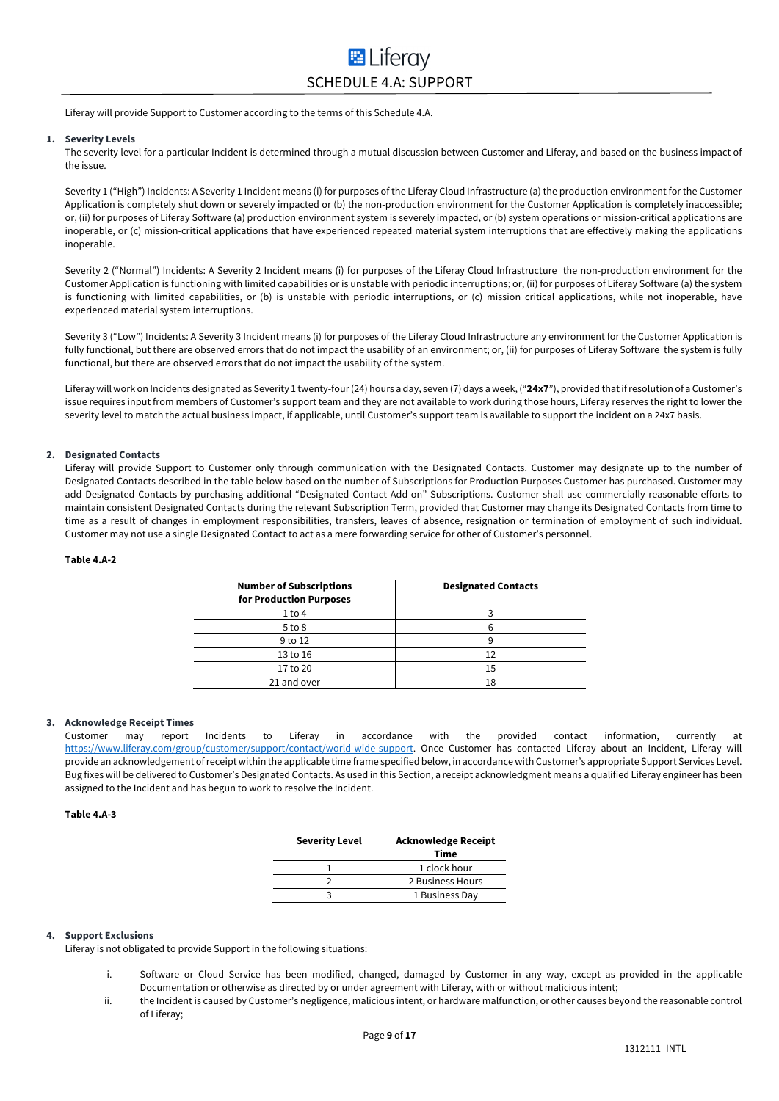# **E** Liferav SCHEDULE 4.A: SUPPORT

Liferay will provide Support to Customer according to the terms of this Schedule 4.A.

#### **1. Severity Levels**

The severity level for a particular Incident is determined through a mutual discussion between Customer and Liferay, and based on the business impact of the issue.

Severity 1 ("High") Incidents: A Severity 1 Incident means (i) for purposes of the Liferay Cloud Infrastructure (a) the production environment for the Customer Application is completely shut down or severely impacted or (b) the non-production environment for the Customer Application is completely inaccessible; or, (ii) for purposes of Liferay Software (a) production environment system is severely impacted, or (b) system operations or mission-critical applications are inoperable, or (c) mission-critical applications that have experienced repeated material system interruptions that are effectively making the applications inoperable.

Severity 2 ("Normal") Incidents: A Severity 2 Incident means (i) for purposes of the Liferay Cloud Infrastructure the non-production environment for the Customer Application is functioning with limited capabilities or is unstable with periodic interruptions; or, (ii) for purposes of Liferay Software (a) the system is functioning with limited capabilities, or (b) is unstable with periodic interruptions, or (c) mission critical applications, while not inoperable, have experienced material system interruptions.

Severity 3 ("Low") Incidents: A Severity 3 Incident means (i) for purposes of the Liferay Cloud Infrastructure any environment for the Customer Application is fully functional, but there are observed errors that do not impact the usability of an environment; or, (ii) for purposes of Liferay Software the system is fully functional, but there are observed errors that do not impact the usability of the system.

Liferay will work on Incidents designated as Severity 1 twenty-four (24) hours a day, seven (7) days a week, ("**24x7**"), provided that if resolution of a Customer's issue requires input from members of Customer's support team and they are not available to work during those hours, Liferay reserves the right to lower the severity level to match the actual business impact, if applicable, until Customer's support team is available to support the incident on a 24x7 basis.

#### **2. Designated Contacts**

Liferay will provide Support to Customer only through communication with the Designated Contacts. Customer may designate up to the number of Designated Contacts described in the table below based on the number of Subscriptions for Production Purposes Customer has purchased. Customer may add Designated Contacts by purchasing additional "Designated Contact Add-on" Subscriptions. Customer shall use commercially reasonable efforts to maintain consistent Designated Contacts during the relevant Subscription Term, provided that Customer may change its Designated Contacts from time to time as a result of changes in employment responsibilities, transfers, leaves of absence, resignation or termination of employment of such individual. Customer may not use a single Designated Contact to act as a mere forwarding service for other of Customer's personnel.

#### **Table 4.A-2**

| <b>Number of Subscriptions</b><br>for Production Purposes | <b>Designated Contacts</b> |
|-----------------------------------------------------------|----------------------------|
| 1 to 4                                                    |                            |
| $5$ to $8$                                                | 6                          |
| 9 to 12                                                   | q                          |
| 13 to 16                                                  | 12                         |
| 17 to 20                                                  | 15                         |
| 21 and over                                               | 18                         |

## **3. Acknowledge Receipt Times**

Customer may report Incidents to Liferay in accordance with the provided contact information, currently at https://www.liferay.com/group/customer/support/contact/world-wide-support. Once Customer has contacted Liferay about an Incident, Liferay will provide an acknowledgement of receipt within the applicable time frame specified below, in accordance with Customer's appropriate Support Services Level. Bug fixes will be delivered to Customer's Designated Contacts. As used in this Section, a receipt acknowledgment means a qualified Liferay engineer has been assigned to the Incident and has begun to work to resolve the Incident.

#### **Table 4.A-3**

| <b>Acknowledge Receipt</b><br><b>Time</b> |
|-------------------------------------------|
| 1 clock hour                              |
| 2 Business Hours                          |
| 1 Business Day                            |
|                                           |

#### **4. Support Exclusions**

Liferay is not obligated to provide Support in the following situations:

- i. Software or Cloud Service has been modified, changed, damaged by Customer in any way, except as provided in the applicable Documentation or otherwise as directed by or under agreement with Liferay, with or without malicious intent;
- ii. the Incident is caused by Customer's negligence, malicious intent, or hardware malfunction, or other causes beyond the reasonable control of Liferay;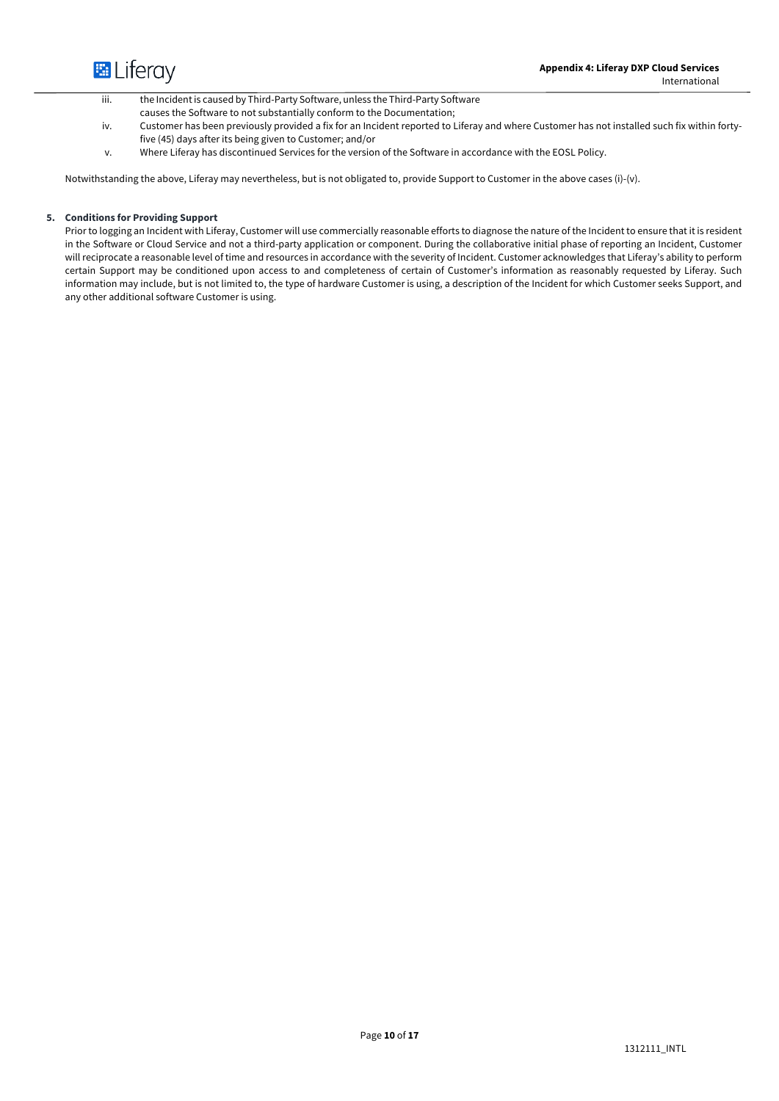

iii. the Incident is caused by Third-Party Software, unless the Third-Party Software

- causes the Software to not substantially conform to the Documentation;
- iv. Customer has been previously provided a fix for an Incident reported to Liferay and where Customer has not installed such fix within fortyfive (45) days after its being given to Customer; and/or
- v. Where Liferay has discontinued Services for the version of the Software in accordance with the EOSL Policy.

Notwithstanding the above, Liferay may nevertheless, but is not obligated to, provide Support to Customer in the above cases (i)-(v).

## **5. Conditions for Providing Support**

Prior to logging an Incident with Liferay, Customer will use commercially reasonable efforts to diagnose the nature of the Incident to ensure that it is resident in the Software or Cloud Service and not a third-party application or component. During the collaborative initial phase of reporting an Incident, Customer will reciprocate a reasonable level of time and resources in accordance with the severity of Incident. Customer acknowledges that Liferay's ability to perform certain Support may be conditioned upon access to and completeness of certain of Customer's information as reasonably requested by Liferay. Such information may include, but is not limited to, the type of hardware Customer is using, a description of the Incident for which Customer seeks Support, and any other additional software Customer is using.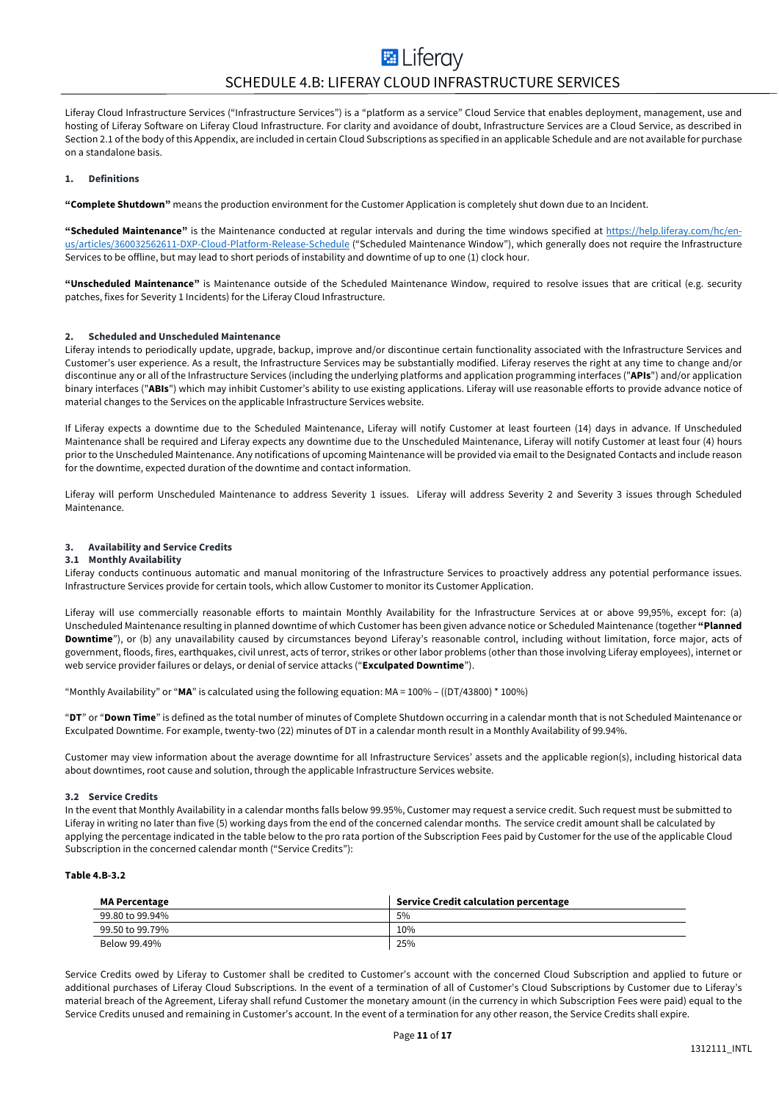Liferay Cloud Infrastructure Services ("Infrastructure Services") is a "platform as a service" Cloud Service that enables deployment, management, use and hosting of Liferay Software on Liferay Cloud Infrastructure. For clarity and avoidance of doubt, Infrastructure Services are a Cloud Service, as described in Section 2.1 of the body of this Appendix, are included in certain Cloud Subscriptions as specified in an applicable Schedule and are not available for purchase on a standalone basis.

#### **1. Definitions**

**"Complete Shutdown"** means the production environment for the Customer Application is completely shut down due to an Incident.

**"Scheduled Maintenance"** is the Maintenance conducted at regular intervals and during the time windows specified at https://help.liferay.com/hc/enus/articles/360032562611-DXP-Cloud-Platform-Release-Schedule ("Scheduled Maintenance Window"), which generally does not require the Infrastructure Services to be offline, but may lead to short periods of instability and downtime of up to one (1) clock hour.

**"Unscheduled Maintenance"** is Maintenance outside of the Scheduled Maintenance Window, required to resolve issues that are critical (e.g. security patches, fixes for Severity 1 Incidents) for the Liferay Cloud Infrastructure.

#### **2. Scheduled and Unscheduled Maintenance**

Liferay intends to periodically update, upgrade, backup, improve and/or discontinue certain functionality associated with the Infrastructure Services and Customer's user experience. As a result, the Infrastructure Services may be substantially modified. Liferay reserves the right at any time to change and/or discontinue any or all of the Infrastructure Services (including the underlying platforms and application programming interfaces ("**APIs**") and/or application binary interfaces ("**ABIs**") which may inhibit Customer's ability to use existing applications. Liferay will use reasonable efforts to provide advance notice of material changes to the Services on the applicable Infrastructure Services website.

If Liferay expects a downtime due to the Scheduled Maintenance, Liferay will notify Customer at least fourteen (14) days in advance. If Unscheduled Maintenance shall be required and Liferay expects any downtime due to the Unscheduled Maintenance, Liferay will notify Customer at least four (4) hours prior to the Unscheduled Maintenance. Any notifications of upcoming Maintenance will be provided via email to the Designated Contacts and include reason for the downtime, expected duration of the downtime and contact information.

Liferay will perform Unscheduled Maintenance to address Severity 1 issues. Liferay will address Severity 2 and Severity 3 issues through Scheduled Maintenance.

#### **3. Availability and Service Credits**

#### **3.1 Monthly Availability**

Liferay conducts continuous automatic and manual monitoring of the Infrastructure Services to proactively address any potential performance issues. Infrastructure Services provide for certain tools, which allow Customer to monitor its Customer Application.

Liferay will use commercially reasonable efforts to maintain Monthly Availability for the Infrastructure Services at or above 99,95%, except for: (a) Unscheduled Maintenance resulting in planned downtime of which Customer has been given advance notice or Scheduled Maintenance (together **"Planned Downtime**"), or (b) any unavailability caused by circumstances beyond Liferay's reasonable control, including without limitation, force major, acts of government, floods, fires, earthquakes, civil unrest, acts of terror, strikes or other labor problems (other than those involving Liferay employees), internet or web service provider failures or delays, or denial of service attacks ("**Exculpated Downtime**").

"Monthly Availability" or "**MA**" is calculated using the following equation: MA = 100% – ((DT/43800) \* 100%)

"**DT**" or "**Down Time**" is defined as the total number of minutes of Complete Shutdown occurring in a calendar month that is not Scheduled Maintenance or Exculpated Downtime. For example, twenty-two (22) minutes of DT in a calendar month result in a Monthly Availability of 99.94%.

Customer may view information about the average downtime for all Infrastructure Services' assets and the applicable region(s), including historical data about downtimes, root cause and solution, through the applicable Infrastructure Services website.

#### **3.2 Service Credits**

In the event that Monthly Availability in a calendar months falls below 99.95%, Customer may request a service credit. Such request must be submitted to Liferay in writing no later than five (5) working days from the end of the concerned calendar months. The service credit amount shall be calculated by applying the percentage indicated in the table below to the pro rata portion of the Subscription Fees paid by Customer for the use of the applicable Cloud Subscription in the concerned calendar month ("Service Credits"):

#### **Table 4.B-3.2**

| <b>MA Percentage</b> | <b>Service Credit calculation percentage</b> |
|----------------------|----------------------------------------------|
| 99.80 to 99.94%      | 5%                                           |
| 99.50 to 99.79%      | 10%                                          |
| Below 99.49%         | 25%                                          |

Service Credits owed by Liferay to Customer shall be credited to Customer's account with the concerned Cloud Subscription and applied to future or additional purchases of Liferay Cloud Subscriptions. In the event of a termination of all of Customer's Cloud Subscriptions by Customer due to Liferay's material breach of the Agreement, Liferay shall refund Customer the monetary amount (in the currency in which Subscription Fees were paid) equal to the Service Credits unused and remaining in Customer's account. In the event of a termination for any other reason, the Service Credits shall expire.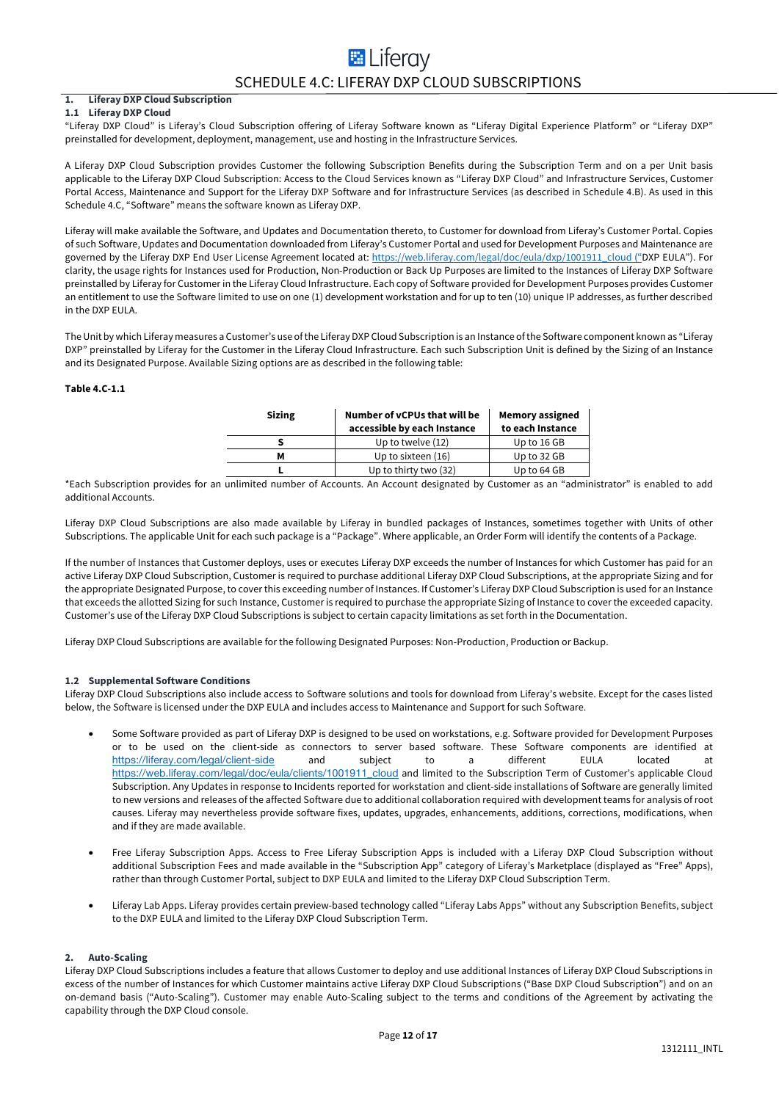## **E** Liferav SCHEDULE 4.C: LIFERAY DXP CLOUD SUBSCRIPTIONS

#### **1. Liferay DXP Cloud Subscription 1.1 Liferay DXP Cloud**

"Liferay DXP Cloud" is Liferay's Cloud Subscription offering of Liferay Software known as "Liferay Digital Experience Platform" or "Liferay DXP" preinstalled for development, deployment, management, use and hosting in the Infrastructure Services.

A Liferay DXP Cloud Subscription provides Customer the following Subscription Benefits during the Subscription Term and on a per Unit basis applicable to the Liferay DXP Cloud Subscription: Access to the Cloud Services known as "Liferay DXP Cloud" and Infrastructure Services, Customer Portal Access, Maintenance and Support for the Liferay DXP Software and for Infrastructure Services (as described in Schedule 4.B). As used in this Schedule 4.C, "Software" means the software known as Liferay DXP.

Liferay will make available the Software, and Updates and Documentation thereto, to Customer for download from Liferay's Customer Portal. Copies of such Software, Updates and Documentation downloaded from Liferay's Customer Portal and used for Development Purposes and Maintenance are governed by the Liferay DXP End User License Agreement located at: https://web.liferay.com/legal/doc/eula/dxp/1001911\_cloud ("DXP EULA"). For clarity, the usage rights for Instances used for Production, Non-Production or Back Up Purposes are limited to the Instances of Liferay DXP Software preinstalled by Liferay for Customer in the Liferay Cloud Infrastructure. Each copy of Software provided for Development Purposes provides Customer an entitlement to use the Software limited to use on one (1) development workstation and for up to ten (10) unique IP addresses, as further described in the DXP EULA.

The Unit by which Liferay measures a Customer's use of the Liferay DXP Cloud Subscription is an Instance of the Software component known as "Liferay DXP" preinstalled by Liferay for the Customer in the Liferay Cloud Infrastructure. Each such Subscription Unit is defined by the Sizing of an Instance and its Designated Purpose. Available Sizing options are as described in the following table:

#### **Table 4.C-1.1**

| <b>Sizing</b> | Number of vCPUs that will be<br>accessible by each Instance                                                     | <b>Memory assigned</b><br>to each Instance |
|---------------|-----------------------------------------------------------------------------------------------------------------|--------------------------------------------|
|               | Up to twelve (12)                                                                                               | Up to 16 GB                                |
| м             | Up to sixteen (16)                                                                                              | Up to 32 GB                                |
|               | Up to thirty two (32)                                                                                           | Up to 64 GB                                |
| $\sim$<br>__  | the contract of the contract of the contract of the contract of the contract of the contract of the contract of |                                            |

\*Each Subscription provides for an unlimited number of Accounts. An Account designated by Customer as an "administrator" is enabled to add additional Accounts.

Liferay DXP Cloud Subscriptions are also made available by Liferay in bundled packages of Instances, sometimes together with Units of other Subscriptions. The applicable Unit for each such package is a "Package". Where applicable, an Order Form will identify the contents of a Package.

If the number of Instances that Customer deploys, uses or executes Liferay DXP exceeds the number of Instances for which Customer has paid for an active Liferay DXP Cloud Subscription, Customer is required to purchase additional Liferay DXP Cloud Subscriptions, at the appropriate Sizing and for the appropriate Designated Purpose, to cover this exceeding number of Instances. If Customer's Liferay DXP Cloud Subscription is used for an Instance that exceeds the allotted Sizing for such Instance, Customer is required to purchase the appropriate Sizing of Instance to cover the exceeded capacity. Customer's use of the Liferay DXP Cloud Subscriptions is subject to certain capacity limitations as set forth in the Documentation.

Liferay DXP Cloud Subscriptions are available for the following Designated Purposes: Non-Production, Production or Backup.

#### **1.2 Supplemental Software Conditions**

Liferay DXP Cloud Subscriptions also include access to Software solutions and tools for download from Liferay's website. Except for the cases listed below, the Software is licensed under the DXP EULA and includes access to Maintenance and Support for such Software.

- Some Software provided as part of Liferay DXP is designed to be used on workstations, e.g. Software provided for Development Purposes or to be used on the client-side as connectors to server based software. These Software components are identified at https://liferay.com/legal/client-side and subject to a different EULA located at https://web.liferay.com/legal/doc/eula/clients/1001911\_cloud and limited to the Subscription Term of Customer's applicable Cloud Subscription. Any Updates in response to Incidents reported for workstation and client-side installations of Software are generally limited to new versions and releases of the affected Software due to additional collaboration required with development teams for analysis of root causes. Liferay may nevertheless provide software fixes, updates, upgrades, enhancements, additions, corrections, modifications, when and if they are made available.
- Free Liferay Subscription Apps. Access to Free Liferay Subscription Apps is included with a Liferay DXP Cloud Subscription without additional Subscription Fees and made available in the "Subscription App" category of Liferay's Marketplace (displayed as "Free" Apps), rather than through Customer Portal, subject to DXP EULA and limited to the Liferay DXP Cloud Subscription Term.
- Liferay Lab Apps. Liferay provides certain preview-based technology called "Liferay Labs Apps" without any Subscription Benefits, subject to the DXP EULA and limited to the Liferay DXP Cloud Subscription Term.

#### **2. Auto-Scaling**

Liferay DXP Cloud Subscriptions includes a feature that allows Customer to deploy and use additional Instances of Liferay DXP Cloud Subscriptions in excess of the number of Instances for which Customer maintains active Liferay DXP Cloud Subscriptions ("Base DXP Cloud Subscription") and on an on-demand basis ("Auto-Scaling"). Customer may enable Auto-Scaling subject to the terms and conditions of the Agreement by activating the capability through the DXP Cloud console.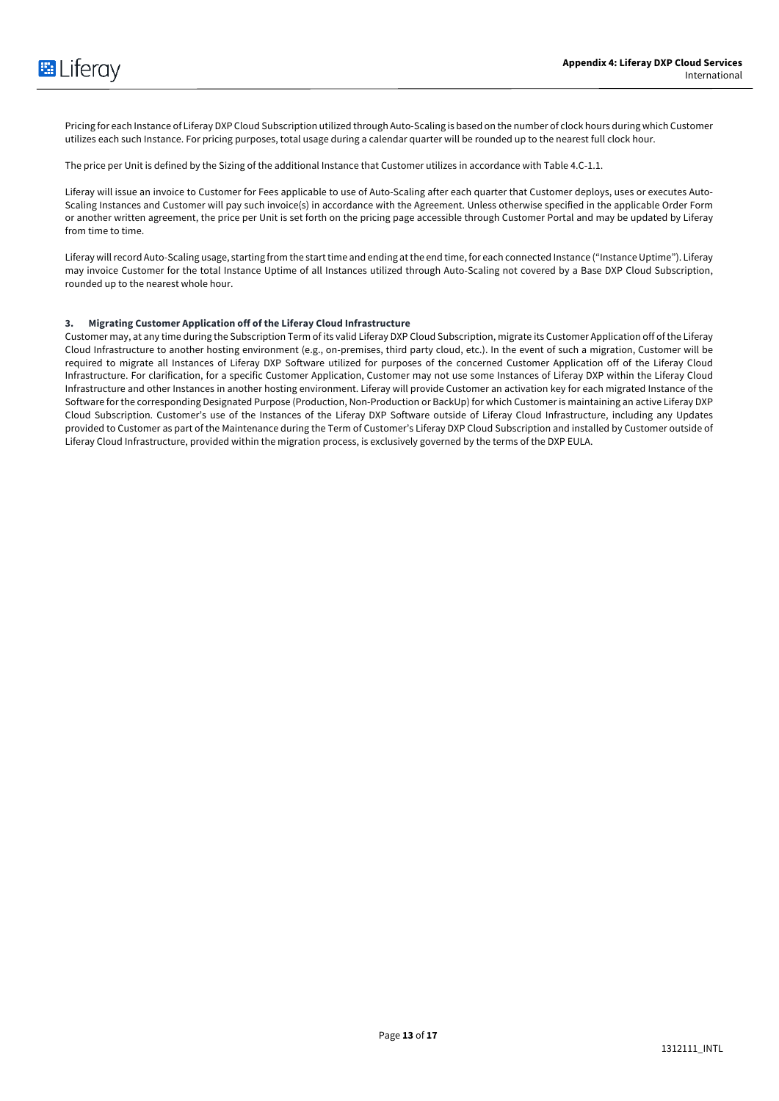Pricing for each Instance of Liferay DXP Cloud Subscription utilized through Auto-Scaling is based on the number of clock hours during which Customer utilizes each such Instance. For pricing purposes, total usage during a calendar quarter will be rounded up to the nearest full clock hour.

The price per Unit is defined by the Sizing of the additional Instance that Customer utilizes in accordance with Table 4.C-1.1.

Liferay will issue an invoice to Customer for Fees applicable to use of Auto-Scaling after each quarter that Customer deploys, uses or executes Auto-Scaling Instances and Customer will pay such invoice(s) in accordance with the Agreement. Unless otherwise specified in the applicable Order Form or another written agreement, the price per Unit is set forth on the pricing page accessible through Customer Portal and may be updated by Liferay from time to time.

Liferay will record Auto-Scaling usage, starting from the start time and ending at the end time, for each connected Instance ("Instance Uptime"). Liferay may invoice Customer for the total Instance Uptime of all Instances utilized through Auto-Scaling not covered by a Base DXP Cloud Subscription, rounded up to the nearest whole hour.

#### **3. Migrating Customer Application off of the Liferay Cloud Infrastructure**

Customer may, at any time during the Subscription Term of its valid Liferay DXP Cloud Subscription, migrate its Customer Application off of the Liferay Cloud Infrastructure to another hosting environment (e.g., on-premises, third party cloud, etc.). In the event of such a migration, Customer will be required to migrate all Instances of Liferay DXP Software utilized for purposes of the concerned Customer Application off of the Liferay Cloud Infrastructure. For clarification, for a specific Customer Application, Customer may not use some Instances of Liferay DXP within the Liferay Cloud Infrastructure and other Instances in another hosting environment. Liferay will provide Customer an activation key for each migrated Instance of the Software for the corresponding Designated Purpose (Production, Non-Production or BackUp) for which Customer is maintaining an active Liferay DXP Cloud Subscription. Customer's use of the Instances of the Liferay DXP Software outside of Liferay Cloud Infrastructure, including any Updates provided to Customer as part of the Maintenance during the Term of Customer's Liferay DXP Cloud Subscription and installed by Customer outside of Liferay Cloud Infrastructure, provided within the migration process, is exclusively governed by the terms of the DXP EULA.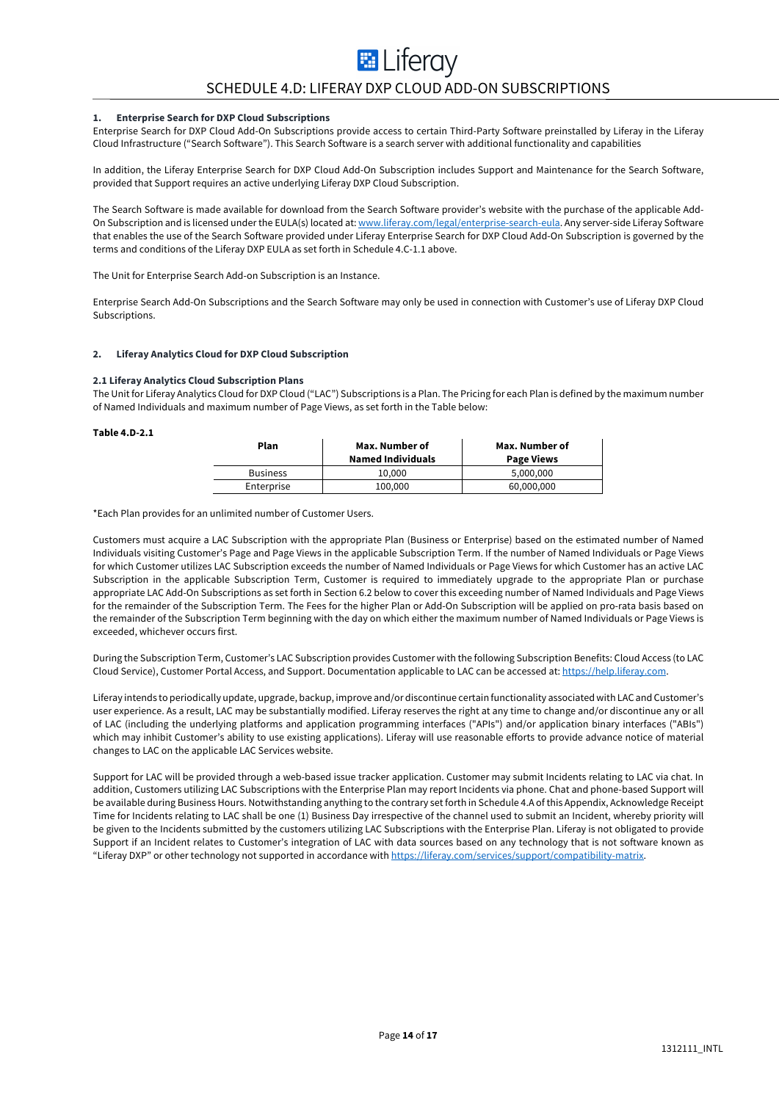# **E** Liferay SCHEDULE 4.D: LIFERAY DXP CLOUD ADD-ON SUBSCRIPTIONS

#### **1. Enterprise Search for DXP Cloud Subscriptions**

Enterprise Search for DXP Cloud Add-On Subscriptions provide access to certain Third-Party Software preinstalled by Liferay in the Liferay Cloud Infrastructure ("Search Software"). This Search Software is a search server with additional functionality and capabilities

In addition, the Liferay Enterprise Search for DXP Cloud Add-On Subscription includes Support and Maintenance for the Search Software, provided that Support requires an active underlying Liferay DXP Cloud Subscription.

The Search Software is made available for download from the Search Software provider's website with the purchase of the applicable Add-On Subscription and is licensed under the EULA(s) located at: www.liferay.com/legal/enterprise-search-eula. Any server-side Liferay Software that enables the use of the Search Software provided under Liferay Enterprise Search for DXP Cloud Add-On Subscription is governed by the terms and conditions of the Liferay DXP EULA as set forth in Schedule 4.C-1.1 above.

The Unit for Enterprise Search Add-on Subscription is an Instance.

Enterprise Search Add-On Subscriptions and the Search Software may only be used in connection with Customer's use of Liferay DXP Cloud Subscriptions.

#### **2. Liferay Analytics Cloud for DXP Cloud Subscription**

#### **2.1 Liferay Analytics Cloud Subscription Plans**

The Unit for Liferay Analytics Cloud for DXP Cloud ("LAC") Subscriptions is a Plan. The Pricing for each Plan is defined by the maximum number of Named Individuals and maximum number of Page Views, as set forth in the Table below:

#### **Table 4.D-2.1**

| Plan            | Max. Number of<br><b>Named Individuals</b> | Max. Number of<br><b>Page Views</b> |
|-----------------|--------------------------------------------|-------------------------------------|
| <b>Business</b> | 10.000                                     | 5,000,000                           |
| Enterprise      | 100,000                                    | 60,000,000                          |

\*Each Plan provides for an unlimited number of Customer Users.

Customers must acquire a LAC Subscription with the appropriate Plan (Business or Enterprise) based on the estimated number of Named Individuals visiting Customer's Page and Page Views in the applicable Subscription Term. If the number of Named Individuals or Page Views for which Customer utilizes LAC Subscription exceeds the number of Named Individuals or Page Views for which Customer has an active LAC Subscription in the applicable Subscription Term, Customer is required to immediately upgrade to the appropriate Plan or purchase appropriate LAC Add-On Subscriptions as set forth in Section 6.2 below to cover this exceeding number of Named Individuals and Page Views for the remainder of the Subscription Term. The Fees for the higher Plan or Add-On Subscription will be applied on pro-rata basis based on the remainder of the Subscription Term beginning with the day on which either the maximum number of Named Individuals or Page Views is exceeded, whichever occurs first.

During the Subscription Term, Customer's LAC Subscription provides Customer with the following Subscription Benefits: Cloud Access (to LAC Cloud Service), Customer Portal Access, and Support. Documentation applicable to LAC can be accessed at: https://help.liferay.com.

Liferay intends to periodically update, upgrade, backup, improve and/or discontinue certain functionality associated with LACand Customer's user experience. As a result, LAC may be substantially modified. Liferay reserves the right at any time to change and/or discontinue any or all of LAC (including the underlying platforms and application programming interfaces ("APIs") and/or application binary interfaces ("ABIs") which may inhibit Customer's ability to use existing applications). Liferay will use reasonable efforts to provide advance notice of material changes to LAC on the applicable LAC Services website.

Support for LAC will be provided through a web-based issue tracker application. Customer may submit Incidents relating to LAC via chat. In addition, Customers utilizing LAC Subscriptions with the Enterprise Plan may report Incidents via phone. Chat and phone-based Support will be available during Business Hours. Notwithstanding anything to the contrary set forth in Schedule 4.A of this Appendix, Acknowledge Receipt Time for Incidents relating to LAC shall be one (1) Business Day irrespective of the channel used to submit an Incident, whereby priority will be given to the Incidents submitted by the customers utilizing LAC Subscriptions with the Enterprise Plan. Liferay is not obligated to provide Support if an Incident relates to Customer's integration of LAC with data sources based on any technology that is not software known as "Liferay DXP" or other technology not supported in accordance with https://liferay.com/services/support/compatibility-matrix.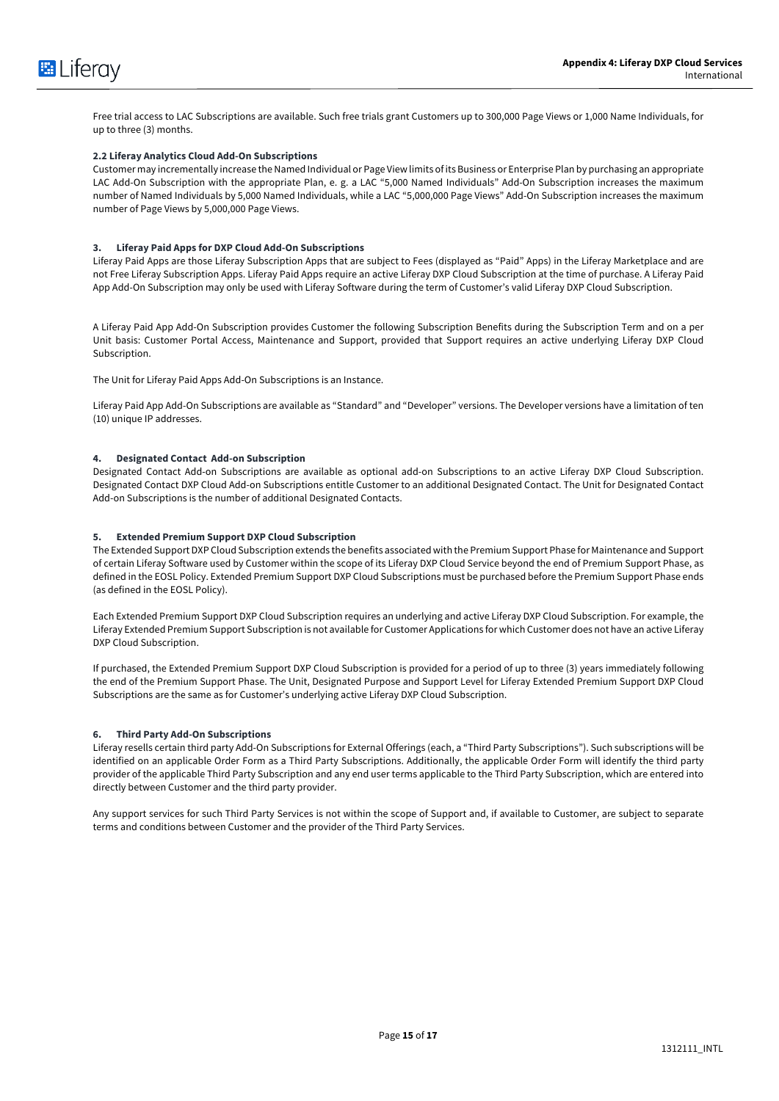

Free trial access to LAC Subscriptions are available. Such free trials grant Customers up to 300,000 Page Views or 1,000 Name Individuals, for up to three (3) months.

#### **2.2 Liferay Analytics Cloud Add-On Subscriptions**

Customer may incrementally increase the Named Individual or Page View limits of its Business or Enterprise Plan by purchasing an appropriate LAC Add-On Subscription with the appropriate Plan, e. g. a LAC "5,000 Named Individuals" Add-On Subscription increases the maximum number of Named Individuals by 5,000 Named Individuals, while a LAC "5,000,000 Page Views" Add-On Subscription increases the maximum number of Page Views by 5,000,000 Page Views.

#### **3. Liferay Paid Apps for DXP Cloud Add-On Subscriptions**

Liferay Paid Apps are those Liferay Subscription Apps that are subject to Fees (displayed as "Paid" Apps) in the Liferay Marketplace and are not Free Liferay Subscription Apps. Liferay Paid Apps require an active Liferay DXP Cloud Subscription at the time of purchase. A Liferay Paid App Add-On Subscription may only be used with Liferay Software during the term of Customer's valid Liferay DXP Cloud Subscription.

A Liferay Paid App Add-On Subscription provides Customer the following Subscription Benefits during the Subscription Term and on a per Unit basis: Customer Portal Access, Maintenance and Support, provided that Support requires an active underlying Liferay DXP Cloud Subscription.

The Unit for Liferay Paid Apps Add-On Subscriptions is an Instance.

Liferay Paid App Add-On Subscriptions are available as "Standard" and "Developer" versions. The Developer versions have a limitation of ten (10) unique IP addresses.

#### **4. Designated Contact Add-on Subscription**

Designated Contact Add-on Subscriptions are available as optional add-on Subscriptions to an active Liferay DXP Cloud Subscription. Designated Contact DXP Cloud Add-on Subscriptions entitle Customer to an additional Designated Contact. The Unit for Designated Contact Add-on Subscriptions is the number of additional Designated Contacts.

#### **5. Extended Premium Support DXP Cloud Subscription**

The Extended Support DXP Cloud Subscription extends the benefits associated with the Premium Support Phase for Maintenance and Support of certain Liferay Software used by Customer within the scope of its Liferay DXP Cloud Service beyond the end of Premium Support Phase, as defined in the EOSL Policy. Extended Premium Support DXP Cloud Subscriptions must be purchased before the Premium Support Phase ends (as defined in the EOSL Policy).

Each Extended Premium Support DXP Cloud Subscription requires an underlying and active Liferay DXP Cloud Subscription. For example, the Liferay Extended Premium Support Subscription is not available for Customer Applications for which Customer does not have an active Liferay DXP Cloud Subscription.

If purchased, the Extended Premium Support DXP Cloud Subscription is provided for a period of up to three (3) years immediately following the end of the Premium Support Phase. The Unit, Designated Purpose and Support Level for Liferay Extended Premium Support DXP Cloud Subscriptions are the same as for Customer's underlying active Liferay DXP Cloud Subscription.

#### **6. Third Party Add-On Subscriptions**

Liferay resells certain third party Add-On Subscriptions for External Offerings (each, a "Third Party Subscriptions"). Such subscriptions will be identified on an applicable Order Form as a Third Party Subscriptions. Additionally, the applicable Order Form will identify the third party provider of the applicable Third Party Subscription and any end user terms applicable to the Third Party Subscription, which are entered into directly between Customer and the third party provider.

Any support services for such Third Party Services is not within the scope of Support and, if available to Customer, are subject to separate terms and conditions between Customer and the provider of the Third Party Services.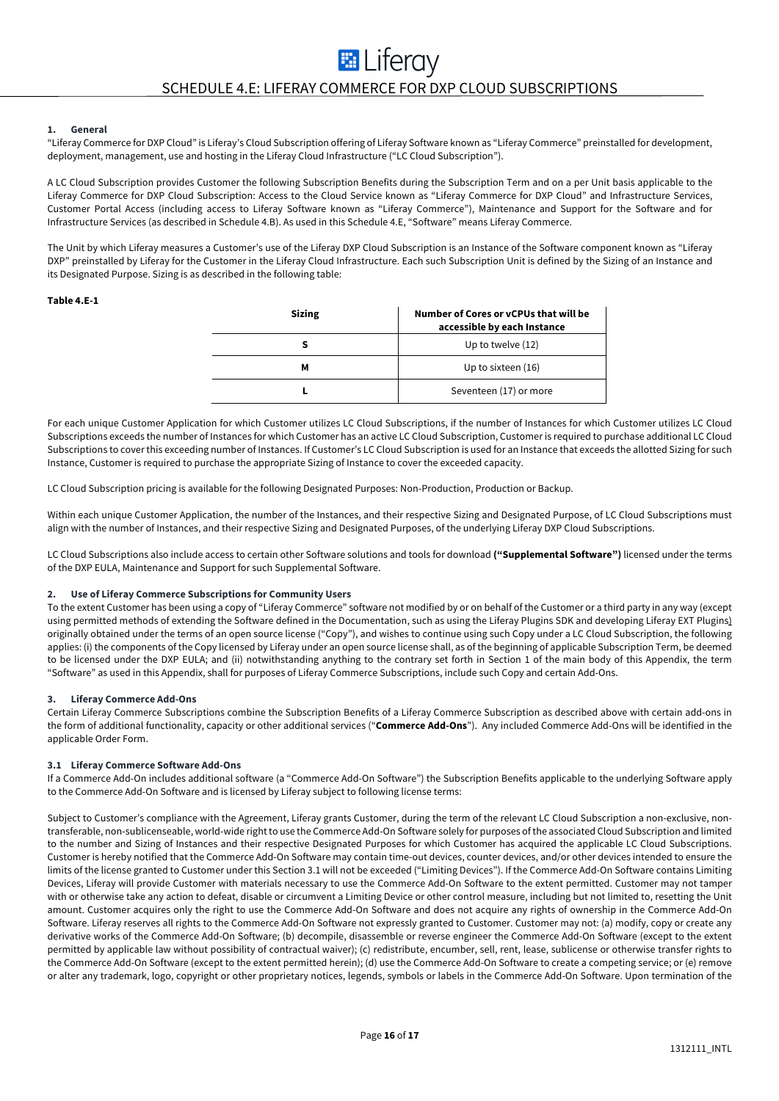# **EL** Liferay SCHEDULE 4.E: LIFERAY COMMERCE FOR DXP CLOUD SUBSCRIPTIONS

#### **1. General**

"Liferay Commerce for DXP Cloud" is Liferay's Cloud Subscription offering of Liferay Software known as "Liferay Commerce" preinstalled for development, deployment, management, use and hosting in the Liferay Cloud Infrastructure ("LC Cloud Subscription").

A LC Cloud Subscription provides Customer the following Subscription Benefits during the Subscription Term and on a per Unit basis applicable to the Liferay Commerce for DXP Cloud Subscription: Access to the Cloud Service known as "Liferay Commerce for DXP Cloud" and Infrastructure Services, Customer Portal Access (including access to Liferay Software known as "Liferay Commerce"), Maintenance and Support for the Software and for Infrastructure Services (as described in Schedule 4.B). As used in this Schedule 4.E, "Software" means Liferay Commerce.

The Unit by which Liferay measures a Customer's use of the Liferay DXP Cloud Subscription is an Instance of the Software component known as "Liferay DXP" preinstalled by Liferay for the Customer in the Liferay Cloud Infrastructure. Each such Subscription Unit is defined by the Sizing of an Instance and its Designated Purpose. Sizing is as described in the following table:

#### **Table 4.E-1**

| <b>Sizing</b> | Number of Cores or yCPUs that will be<br>accessible by each Instance |
|---------------|----------------------------------------------------------------------|
|               | Up to twelve (12)                                                    |
| М             | Up to sixteen (16)                                                   |
|               | Seventeen (17) or more                                               |

For each unique Customer Application for which Customer utilizes LC Cloud Subscriptions, if the number of Instances for which Customer utilizes LC Cloud Subscriptions exceeds the number of Instances for which Customer has an active LC Cloud Subscription, Customer is required to purchase additional LC Cloud Subscriptions to cover this exceeding number of Instances. If Customer's LC Cloud Subscription is used for an Instance that exceeds the allotted Sizing for such Instance, Customer is required to purchase the appropriate Sizing of Instance to cover the exceeded capacity.

LC Cloud Subscription pricing is available for the following Designated Purposes: Non-Production, Production or Backup.

Within each unique Customer Application, the number of the Instances, and their respective Sizing and Designated Purpose, of LC Cloud Subscriptions must align with the number of Instances, and their respective Sizing and Designated Purposes, of the underlying Liferay DXP Cloud Subscriptions.

LC Cloud Subscriptions also include access to certain other Software solutions and tools for download **("Supplemental Software")** licensed under the terms of the DXP EULA, Maintenance and Support for such Supplemental Software.

#### **2. Use of Liferay Commerce Subscriptions for Community Users**

To the extent Customer has been using a copy of "Liferay Commerce" software not modified by or on behalf of the Customer or a third party in any way (except using permitted methods of extending the Software defined in the Documentation, such as using the Liferay Plugins SDK and developing Liferay EXT Plugins) originally obtained under the terms of an open source license ("Copy"), and wishes to continue using such Copy under a LC Cloud Subscription, the following applies: (i) the components of the Copy licensed by Liferay under an open source license shall, as of the beginning of applicable Subscription Term, be deemed to be licensed under the DXP EULA; and (ii) notwithstanding anything to the contrary set forth in Section 1 of the main body of this Appendix, the term "Software" as used in this Appendix, shall for purposes of Liferay Commerce Subscriptions, include such Copy and certain Add-Ons.

#### **3. Liferay Commerce Add-Ons**

Certain Liferay Commerce Subscriptions combine the Subscription Benefits of a Liferay Commerce Subscription as described above with certain add-ons in the form of additional functionality, capacity or other additional services ("**Commerce Add-Ons**"). Any included Commerce Add-Ons will be identified in the applicable Order Form.

#### **3.1 Liferay Commerce Software Add-Ons**

If a Commerce Add-On includes additional software (a "Commerce Add-On Software") the Subscription Benefits applicable to the underlying Software apply to the Commerce Add-On Software and is licensed by Liferay subject to following license terms:

Subject to Customer's compliance with the Agreement, Liferay grants Customer, during the term of the relevant LC Cloud Subscription a non-exclusive, nontransferable, non-sublicenseable, world-wide right to use the Commerce Add-On Software solely for purposes of the associated Cloud Subscription and limited to the number and Sizing of Instances and their respective Designated Purposes for which Customer has acquired the applicable LC Cloud Subscriptions. Customer is hereby notified that the Commerce Add-On Software may contain time-out devices, counter devices, and/or other devices intended to ensure the limits of the license granted to Customer under this Section 3.1 will not be exceeded ("Limiting Devices"). If the Commerce Add-On Software contains Limiting Devices, Liferay will provide Customer with materials necessary to use the Commerce Add-On Software to the extent permitted. Customer may not tamper with or otherwise take any action to defeat, disable or circumvent a Limiting Device or other control measure, including but not limited to, resetting the Unit amount. Customer acquires only the right to use the Commerce Add-On Software and does not acquire any rights of ownership in the Commerce Add-On Software. Liferay reserves all rights to the Commerce Add-On Software not expressly granted to Customer. Customer may not: (a) modify, copy or create any derivative works of the Commerce Add-On Software; (b) decompile, disassemble or reverse engineer the Commerce Add-On Software (except to the extent permitted by applicable law without possibility of contractual waiver); (c) redistribute, encumber, sell, rent, lease, sublicense or otherwise transfer rights to the Commerce Add-On Software (except to the extent permitted herein); (d) use the Commerce Add-On Software to create a competing service; or (e) remove or alter any trademark, logo, copyright or other proprietary notices, legends, symbols or labels in the Commerce Add-On Software. Upon termination of the